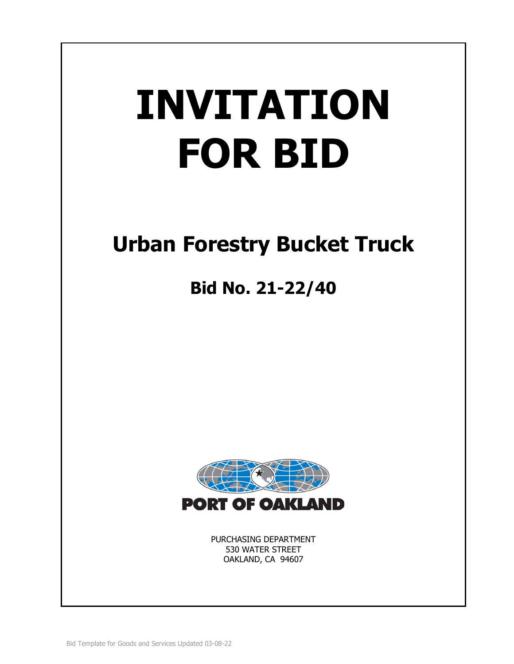# **INVITATION FOR BID**

# **Urban Forestry Bucket Truck**

# **Bid No. 21-22/40**



PURCHASING DEPARTMENT 530 WATER STREET OAKLAND, CA 94607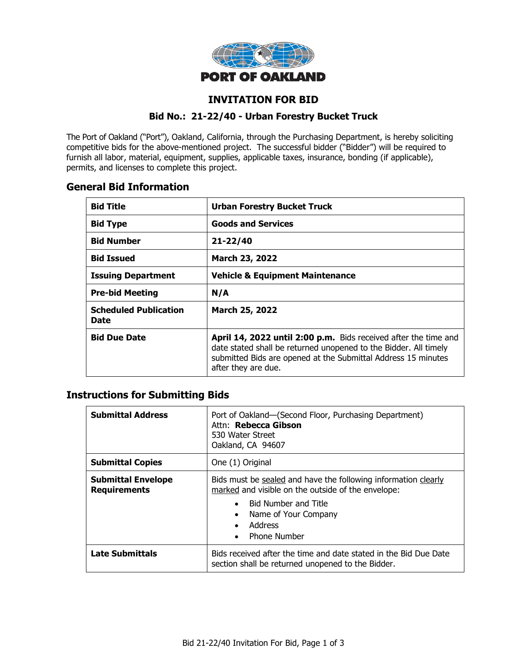

# **INVITATION FOR BID**

## **Bid No.: 21-22/40 - Urban Forestry Bucket Truck**

The Port of Oakland ("Port"), Oakland, California, through the Purchasing Department, is hereby soliciting competitive bids for the above-mentioned project. The successful bidder ("Bidder") will be required to furnish all labor, material, equipment, supplies, applicable taxes, insurance, bonding (if applicable), permits, and licenses to complete this project.

# **General Bid Information**

| <b>Bid Title</b>                     | <b>Urban Forestry Bucket Truck</b>                                                                                                                                                                                          |  |
|--------------------------------------|-----------------------------------------------------------------------------------------------------------------------------------------------------------------------------------------------------------------------------|--|
| <b>Bid Type</b>                      | <b>Goods and Services</b>                                                                                                                                                                                                   |  |
| <b>Bid Number</b>                    | $21 - 22/40$                                                                                                                                                                                                                |  |
| <b>Bid Issued</b>                    | March 23, 2022                                                                                                                                                                                                              |  |
| <b>Issuing Department</b>            | <b>Vehicle &amp; Equipment Maintenance</b>                                                                                                                                                                                  |  |
| <b>Pre-bid Meeting</b>               | N/A                                                                                                                                                                                                                         |  |
| <b>Scheduled Publication</b><br>Date | March 25, 2022                                                                                                                                                                                                              |  |
| <b>Bid Due Date</b>                  | April 14, 2022 until 2:00 p.m. Bids received after the time and<br>date stated shall be returned unopened to the Bidder. All timely<br>submitted Bids are opened at the Submittal Address 15 minutes<br>after they are due. |  |

# **Instructions for Submitting Bids**

| <b>Submittal Address</b>                         | Port of Oakland-(Second Floor, Purchasing Department)<br>Attn: Rebecca Gibson<br>530 Water Street<br>Oakland, CA 94607                                                                                                                                            |  |
|--------------------------------------------------|-------------------------------------------------------------------------------------------------------------------------------------------------------------------------------------------------------------------------------------------------------------------|--|
| <b>Submittal Copies</b>                          | One (1) Original                                                                                                                                                                                                                                                  |  |
| <b>Submittal Envelope</b><br><b>Requirements</b> | Bids must be sealed and have the following information clearly<br>marked and visible on the outside of the envelope:<br><b>Bid Number and Title</b><br>$\bullet$<br>Name of Your Company<br>$\bullet$<br>Address<br>$\bullet$<br><b>Phone Number</b><br>$\bullet$ |  |
| <b>Late Submittals</b>                           | Bids received after the time and date stated in the Bid Due Date<br>section shall be returned unopened to the Bidder.                                                                                                                                             |  |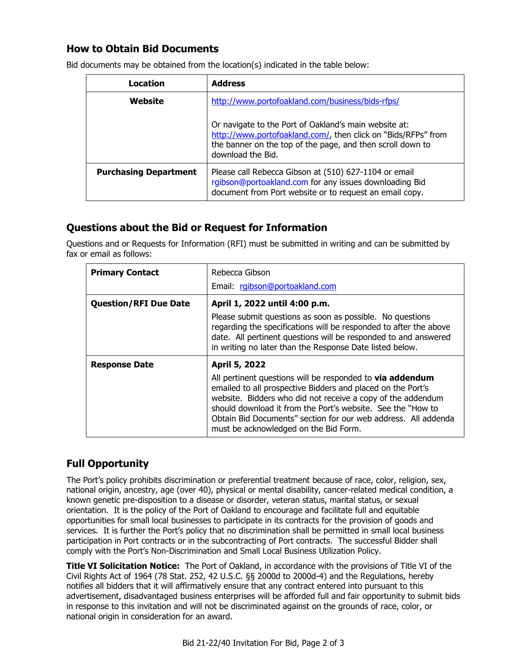# **How to Obtain Bid Documents**

| Location                     | <b>Address</b>                                                                                                                                                                                            |  |
|------------------------------|-----------------------------------------------------------------------------------------------------------------------------------------------------------------------------------------------------------|--|
| Website                      | http://www.portofoakland.com/business/bids-rfps/                                                                                                                                                          |  |
|                              | Or navigate to the Port of Oakland's main website at:<br>http://www.portofoakland.com/, then click on "Bids/RFPs" from<br>the banner on the top of the page, and then scroll down to<br>download the Bid. |  |
| <b>Purchasing Department</b> | Please call Rebecca Gibson at (510) 627-1104 or email<br>rgibson@portoakland.com for any issues downloading Bid<br>document from Port website or to request an email copy.                                |  |

Bid documents may be obtained from the location(s) indicated in the table below:

# **Questions about the Bid or Request for Information**

Questions and or Requests for Information (RFI) must be submitted in writing and can be submitted by fax or email as follows:

| <b>Primary Contact</b>       | Rebecca Gibson                                                                                                                                                                                                                                                                                                                                                           |  |
|------------------------------|--------------------------------------------------------------------------------------------------------------------------------------------------------------------------------------------------------------------------------------------------------------------------------------------------------------------------------------------------------------------------|--|
|                              | Email: rgibson@portoakland.com                                                                                                                                                                                                                                                                                                                                           |  |
| <b>Question/RFI Due Date</b> | April 1, 2022 until 4:00 p.m.                                                                                                                                                                                                                                                                                                                                            |  |
|                              | Please submit questions as soon as possible. No questions<br>regarding the specifications will be responded to after the above<br>date. All pertinent questions will be responded to and answered<br>in writing no later than the Response Date listed below.                                                                                                            |  |
| <b>Response Date</b>         | April 5, 2022                                                                                                                                                                                                                                                                                                                                                            |  |
|                              | All pertinent questions will be responded to <b>via addendum</b><br>emailed to all prospective Bidders and placed on the Port's<br>website. Bidders who did not receive a copy of the addendum<br>should download it from the Port's website. See the "How to<br>Obtain Bid Documents" section for our web address. All addenda<br>must be acknowledged on the Bid Form. |  |

# **Full Opportunity**

The Port's policy prohibits discrimination or preferential treatment because of race, color, religion, sex, national origin, ancestry, age (over 40), physical or mental disability, cancer-related medical condition, a known genetic pre-disposition to a disease or disorder, veteran status, marital status, or sexual orientation. It is the policy of the Port of Oakland to encourage and facilitate full and equitable opportunities for small local businesses to participate in its contracts for the provision of goods and services. It is further the Port's policy that no discrimination shall be permitted in small local business participation in Port contracts or in the subcontracting of Port contracts. The successful Bidder shall comply with the Port's Non-Discrimination and Small Local Business Utilization Policy.

**Title VI Solicitation Notice:** The Port of Oakland, in accordance with the provisions of Title VI of the Civil Rights Act of 1964 (78 Stat. 252, 42 U.S.C. §§ 2000d to 2000d-4) and the Regulations, hereby notifies all bidders that it will affirmatively ensure that any contract entered into pursuant to this advertisement, disadvantaged business enterprises will be afforded full and fair opportunity to submit bids in response to this invitation and will not be discriminated against on the grounds of race, color, or national origin in consideration for an award.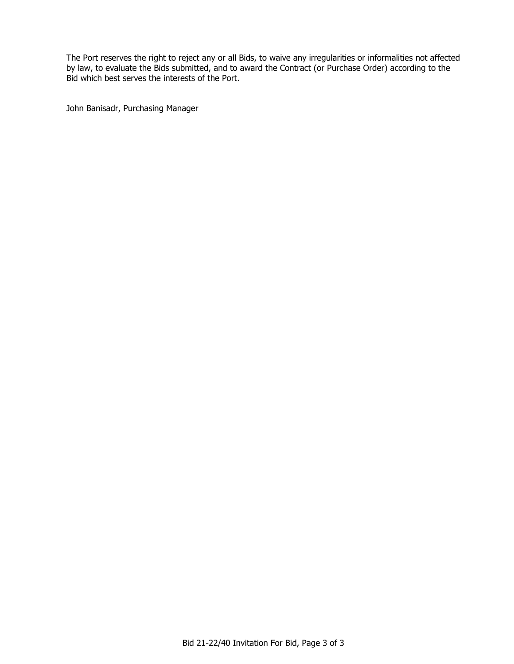The Port reserves the right to reject any or all Bids, to waive any irregularities or informalities not affected by law, to evaluate the Bids submitted, and to award the Contract (or Purchase Order) according to the Bid which best serves the interests of the Port.

John Banisadr, Purchasing Manager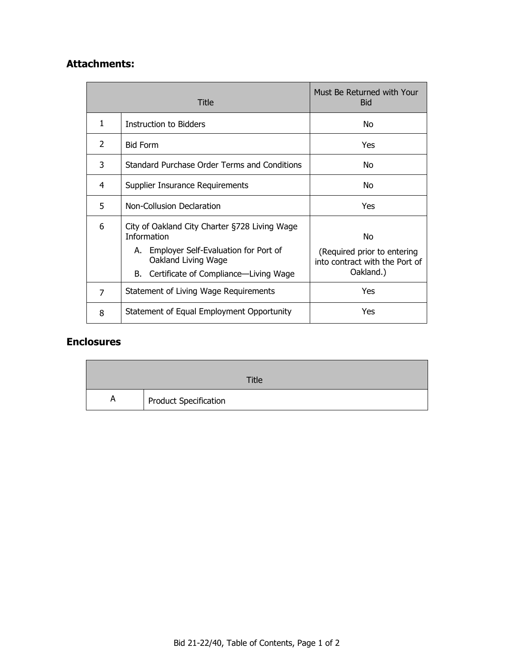# **Attachments:**

| Title |                                                                                                                                                                                   | Must Be Returned with Your<br><b>Bid</b>                                         |  |
|-------|-----------------------------------------------------------------------------------------------------------------------------------------------------------------------------------|----------------------------------------------------------------------------------|--|
| 1     | <b>Instruction to Bidders</b>                                                                                                                                                     | No.                                                                              |  |
| 2     | <b>Bid Form</b>                                                                                                                                                                   | Yes                                                                              |  |
| 3     | Standard Purchase Order Terms and Conditions                                                                                                                                      | Nο                                                                               |  |
| 4     | Supplier Insurance Requirements                                                                                                                                                   | Nο                                                                               |  |
| 5     | Non-Collusion Declaration                                                                                                                                                         | Yes                                                                              |  |
| 6     | City of Oakland City Charter §728 Living Wage<br><b>Information</b><br>A. Employer Self-Evaluation for Port of<br>Oakland Living Wage<br>B. Certificate of Compliance—Living Wage | No<br>(Required prior to entering<br>into contract with the Port of<br>Oakland.) |  |
| 7     | Statement of Living Wage Requirements                                                                                                                                             | Yes                                                                              |  |
| 8     | Statement of Equal Employment Opportunity                                                                                                                                         | Yes                                                                              |  |

# **Enclosures**

|   | Title                 |
|---|-----------------------|
| A | Product Specification |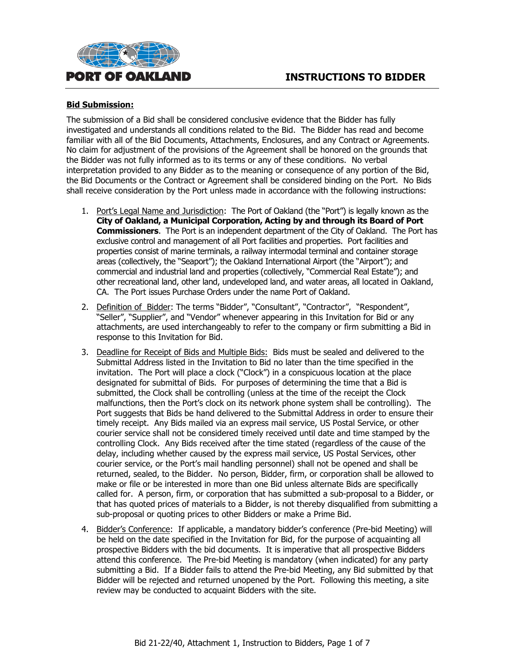

#### **Bid Submission:**

The submission of a Bid shall be considered conclusive evidence that the Bidder has fully investigated and understands all conditions related to the Bid. The Bidder has read and become familiar with all of the Bid Documents, Attachments, Enclosures, and any Contract or Agreements. No claim for adjustment of the provisions of the Agreement shall be honored on the grounds that the Bidder was not fully informed as to its terms or any of these conditions. No verbal interpretation provided to any Bidder as to the meaning or consequence of any portion of the Bid, the Bid Documents or the Contract or Agreement shall be considered binding on the Port. No Bids shall receive consideration by the Port unless made in accordance with the following instructions:

- 1. Port's Legal Name and Jurisdiction: The Port of Oakland (the "Port") is legally known as the **City of Oakland, a Municipal Corporation, Acting by and through its Board of Port Commissioners**. The Port is an independent department of the City of Oakland. The Port has exclusive control and management of all Port facilities and properties. Port facilities and properties consist of marine terminals, a railway intermodal terminal and container storage areas (collectively, the "Seaport"); the Oakland International Airport (the "Airport"); and commercial and industrial land and properties (collectively, "Commercial Real Estate"); and other recreational land, other land, undeveloped land, and water areas, all located in Oakland, CA. The Port issues Purchase Orders under the name Port of Oakland.
- 2. Definition of Bidder: The terms "Bidder", "Consultant", "Contractor", "Respondent", "Seller", "Supplier", and "Vendor" whenever appearing in this Invitation for Bid or any attachments, are used interchangeably to refer to the company or firm submitting a Bid in response to this Invitation for Bid.
- 3. Deadline for Receipt of Bids and Multiple Bids: Bids must be sealed and delivered to the Submittal Address listed in the Invitation to Bid no later than the time specified in the invitation. The Port will place a clock ("Clock") in a conspicuous location at the place designated for submittal of Bids. For purposes of determining the time that a Bid is submitted, the Clock shall be controlling (unless at the time of the receipt the Clock malfunctions, then the Port's clock on its network phone system shall be controlling). The Port suggests that Bids be hand delivered to the Submittal Address in order to ensure their timely receipt. Any Bids mailed via an express mail service, US Postal Service, or other courier service shall not be considered timely received until date and time stamped by the controlling Clock. Any Bids received after the time stated (regardless of the cause of the delay, including whether caused by the express mail service, US Postal Services, other courier service, or the Port's mail handling personnel) shall not be opened and shall be returned, sealed, to the Bidder. No person, Bidder, firm, or corporation shall be allowed to make or file or be interested in more than one Bid unless alternate Bids are specifically called for. A person, firm, or corporation that has submitted a sub-proposal to a Bidder, or that has quoted prices of materials to a Bidder, is not thereby disqualified from submitting a sub-proposal or quoting prices to other Bidders or make a Prime Bid.
- 4. Bidder's Conference: If applicable, a mandatory bidder's conference (Pre-bid Meeting) will be held on the date specified in the Invitation for Bid, for the purpose of acquainting all prospective Bidders with the bid documents. It is imperative that all prospective Bidders attend this conference. The Pre-bid Meeting is mandatory (when indicated) for any party submitting a Bid. If a Bidder fails to attend the Pre-bid Meeting, any Bid submitted by that Bidder will be rejected and returned unopened by the Port. Following this meeting, a site review may be conducted to acquaint Bidders with the site.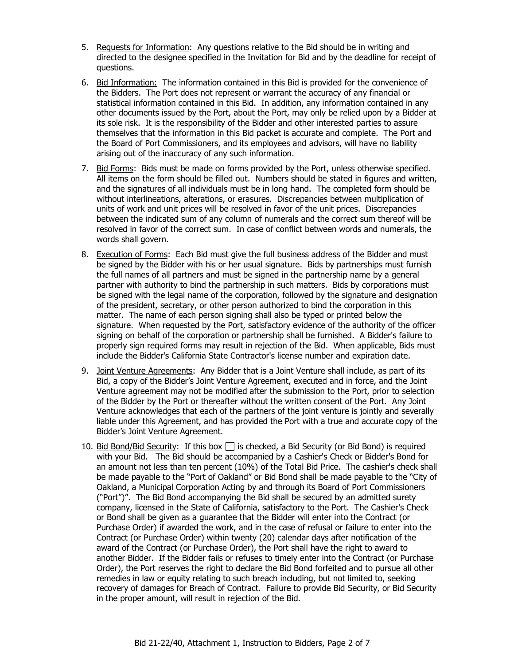- 5. Requests for Information: Any questions relative to the Bid should be in writing and directed to the designee specified in the Invitation for Bid and by the deadline for receipt of questions.
- 6. Bid Information: The information contained in this Bid is provided for the convenience of the Bidders. The Port does not represent or warrant the accuracy of any financial or statistical information contained in this Bid. In addition, any information contained in any other documents issued by the Port, about the Port, may only be relied upon by a Bidder at its sole risk. It is the responsibility of the Bidder and other interested parties to assure themselves that the information in this Bid packet is accurate and complete. The Port and the Board of Port Commissioners, and its employees and advisors, will have no liability arising out of the inaccuracy of any such information.
- 7. Bid Forms: Bids must be made on forms provided by the Port, unless otherwise specified. All items on the form should be filled out. Numbers should be stated in figures and written, and the signatures of all individuals must be in long hand. The completed form should be without interlineations, alterations, or erasures. Discrepancies between multiplication of units of work and unit prices will be resolved in favor of the unit prices. Discrepancies between the indicated sum of any column of numerals and the correct sum thereof will be resolved in favor of the correct sum. In case of conflict between words and numerals, the words shall govern.
- 8. Execution of Forms: Each Bid must give the full business address of the Bidder and must be signed by the Bidder with his or her usual signature. Bids by partnerships must furnish the full names of all partners and must be signed in the partnership name by a general partner with authority to bind the partnership in such matters. Bids by corporations must be signed with the legal name of the corporation, followed by the signature and designation of the president, secretary, or other person authorized to bind the corporation in this matter. The name of each person signing shall also be typed or printed below the signature. When requested by the Port, satisfactory evidence of the authority of the officer signing on behalf of the corporation or partnership shall be furnished. A Bidder's failure to properly sign required forms may result in rejection of the Bid. When applicable, Bids must include the Bidder's California State Contractor's license number and expiration date.
- 9. Joint Venture Agreements: Any Bidder that is a Joint Venture shall include, as part of its Bid, a copy of the Bidder's Joint Venture Agreement, executed and in force, and the Joint Venture agreement may not be modified after the submission to the Port, prior to selection of the Bidder by the Port or thereafter without the written consent of the Port. Any Joint Venture acknowledges that each of the partners of the joint venture is jointly and severally liable under this Agreement, and has provided the Port with a true and accurate copy of the Bidder's Joint Venture Agreement.
- 10. Bid Bond/Bid Security: If this box  $\Box$  is checked, a Bid Security (or Bid Bond) is required with your Bid. The Bid should be accompanied by a Cashier's Check or Bidder's Bond for an amount not less than ten percent (10%) of the Total Bid Price. The cashier's check shall be made payable to the "Port of Oakland" or Bid Bond shall be made payable to the "City of Oakland, a Municipal Corporation Acting by and through its Board of Port Commissioners ("Port")". The Bid Bond accompanying the Bid shall be secured by an admitted surety company, licensed in the State of California, satisfactory to the Port. The Cashier's Check or Bond shall be given as a guarantee that the Bidder will enter into the Contract (or Purchase Order) if awarded the work, and in the case of refusal or failure to enter into the Contract (or Purchase Order) within twenty (20) calendar days after notification of the award of the Contract (or Purchase Order), the Port shall have the right to award to another Bidder. If the Bidder fails or refuses to timely enter into the Contract (or Purchase Order), the Port reserves the right to declare the Bid Bond forfeited and to pursue all other remedies in law or equity relating to such breach including, but not limited to, seeking recovery of damages for Breach of Contract. Failure to provide Bid Security, or Bid Security in the proper amount, will result in rejection of the Bid.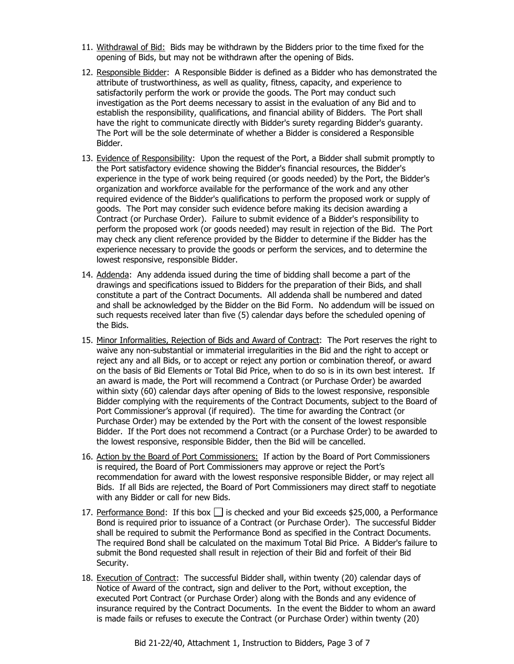- 11. Withdrawal of Bid: Bids may be withdrawn by the Bidders prior to the time fixed for the opening of Bids, but may not be withdrawn after the opening of Bids.
- 12. Responsible Bidder: A Responsible Bidder is defined as a Bidder who has demonstrated the attribute of trustworthiness, as well as quality, fitness, capacity, and experience to satisfactorily perform the work or provide the goods. The Port may conduct such investigation as the Port deems necessary to assist in the evaluation of any Bid and to establish the responsibility, qualifications, and financial ability of Bidders. The Port shall have the right to communicate directly with Bidder's surety regarding Bidder's guaranty. The Port will be the sole determinate of whether a Bidder is considered a Responsible Bidder.
- 13. Evidence of Responsibility: Upon the request of the Port, a Bidder shall submit promptly to the Port satisfactory evidence showing the Bidder's financial resources, the Bidder's experience in the type of work being required (or goods needed) by the Port, the Bidder's organization and workforce available for the performance of the work and any other required evidence of the Bidder's qualifications to perform the proposed work or supply of goods. The Port may consider such evidence before making its decision awarding a Contract (or Purchase Order). Failure to submit evidence of a Bidder's responsibility to perform the proposed work (or goods needed) may result in rejection of the Bid. The Port may check any client reference provided by the Bidder to determine if the Bidder has the experience necessary to provide the goods or perform the services, and to determine the lowest responsive, responsible Bidder.
- 14. Addenda: Any addenda issued during the time of bidding shall become a part of the drawings and specifications issued to Bidders for the preparation of their Bids, and shall constitute a part of the Contract Documents. All addenda shall be numbered and dated and shall be acknowledged by the Bidder on the Bid Form. No addendum will be issued on such requests received later than five (5) calendar days before the scheduled opening of the Bids.
- 15. Minor Informalities, Rejection of Bids and Award of Contract: The Port reserves the right to waive any non-substantial or immaterial irregularities in the Bid and the right to accept or reject any and all Bids, or to accept or reject any portion or combination thereof, or award on the basis of Bid Elements or Total Bid Price, when to do so is in its own best interest. If an award is made, the Port will recommend a Contract (or Purchase Order) be awarded within sixty (60) calendar days after opening of Bids to the lowest responsive, responsible Bidder complying with the requirements of the Contract Documents, subject to the Board of Port Commissioner's approval (if required). The time for awarding the Contract (or Purchase Order) may be extended by the Port with the consent of the lowest responsible Bidder. If the Port does not recommend a Contract (or a Purchase Order) to be awarded to the lowest responsive, responsible Bidder, then the Bid will be cancelled.
- 16. Action by the Board of Port Commissioners: If action by the Board of Port Commissioners is required, the Board of Port Commissioners may approve or reject the Port's recommendation for award with the lowest responsive responsible Bidder, or may reject all Bids. If all Bids are rejected, the Board of Port Commissioners may direct staff to negotiate with any Bidder or call for new Bids.
- 17. Performance Bond: If this box  $\Box$  is checked and your Bid exceeds \$25,000, a Performance Bond is required prior to issuance of a Contract (or Purchase Order). The successful Bidder shall be required to submit the Performance Bond as specified in the Contract Documents. The required Bond shall be calculated on the maximum Total Bid Price. A Bidder's failure to submit the Bond requested shall result in rejection of their Bid and forfeit of their Bid Security.
- 18. Execution of Contract: The successful Bidder shall, within twenty (20) calendar days of Notice of Award of the contract, sign and deliver to the Port, without exception, the executed Port Contract (or Purchase Order) along with the Bonds and any evidence of insurance required by the Contract Documents. In the event the Bidder to whom an award is made fails or refuses to execute the Contract (or Purchase Order) within twenty (20)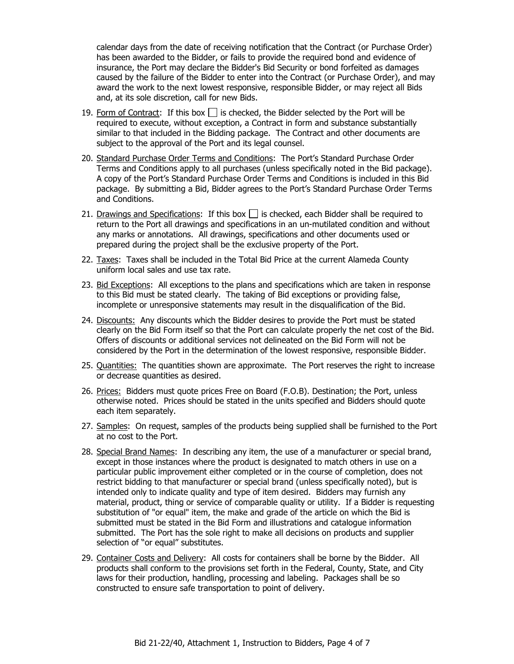calendar days from the date of receiving notification that the Contract (or Purchase Order) has been awarded to the Bidder, or fails to provide the required bond and evidence of insurance, the Port may declare the Bidder's Bid Security or bond forfeited as damages caused by the failure of the Bidder to enter into the Contract (or Purchase Order), and may award the work to the next lowest responsive, responsible Bidder, or may reject all Bids and, at its sole discretion, call for new Bids.

- 19. Form of Contract: If this box  $\Box$  is checked, the Bidder selected by the Port will be required to execute, without exception, a Contract in form and substance substantially similar to that included in the Bidding package. The Contract and other documents are subject to the approval of the Port and its legal counsel.
- 20. Standard Purchase Order Terms and Conditions: The Port's Standard Purchase Order Terms and Conditions apply to all purchases (unless specifically noted in the Bid package). A copy of the Port's Standard Purchase Order Terms and Conditions is included in this Bid package. By submitting a Bid, Bidder agrees to the Port's Standard Purchase Order Terms and Conditions.
- 21. Drawings and Specifications: If this box  $\Box$  is checked, each Bidder shall be required to return to the Port all drawings and specifications in an un-mutilated condition and without any marks or annotations. All drawings, specifications and other documents used or prepared during the project shall be the exclusive property of the Port.
- 22. Taxes: Taxes shall be included in the Total Bid Price at the current Alameda County uniform local sales and use tax rate.
- 23. Bid Exceptions: All exceptions to the plans and specifications which are taken in response to this Bid must be stated clearly. The taking of Bid exceptions or providing false, incomplete or unresponsive statements may result in the disqualification of the Bid.
- 24. Discounts: Any discounts which the Bidder desires to provide the Port must be stated clearly on the Bid Form itself so that the Port can calculate properly the net cost of the Bid. Offers of discounts or additional services not delineated on the Bid Form will not be considered by the Port in the determination of the lowest responsive, responsible Bidder.
- 25. Quantities: The quantities shown are approximate. The Port reserves the right to increase or decrease quantities as desired.
- 26. Prices: Bidders must quote prices Free on Board (F.O.B). Destination; the Port, unless otherwise noted. Prices should be stated in the units specified and Bidders should quote each item separately.
- 27. Samples: On request, samples of the products being supplied shall be furnished to the Port at no cost to the Port.
- 28. Special Brand Names: In describing any item, the use of a manufacturer or special brand, except in those instances where the product is designated to match others in use on a particular public improvement either completed or in the course of completion, does not restrict bidding to that manufacturer or special brand (unless specifically noted), but is intended only to indicate quality and type of item desired. Bidders may furnish any material, product, thing or service of comparable quality or utility. If a Bidder is requesting substitution of "or equal" item, the make and grade of the article on which the Bid is submitted must be stated in the Bid Form and illustrations and catalogue information submitted. The Port has the sole right to make all decisions on products and supplier selection of "or equal" substitutes.
- 29. Container Costs and Delivery: All costs for containers shall be borne by the Bidder. All products shall conform to the provisions set forth in the Federal, County, State, and City laws for their production, handling, processing and labeling. Packages shall be so constructed to ensure safe transportation to point of delivery.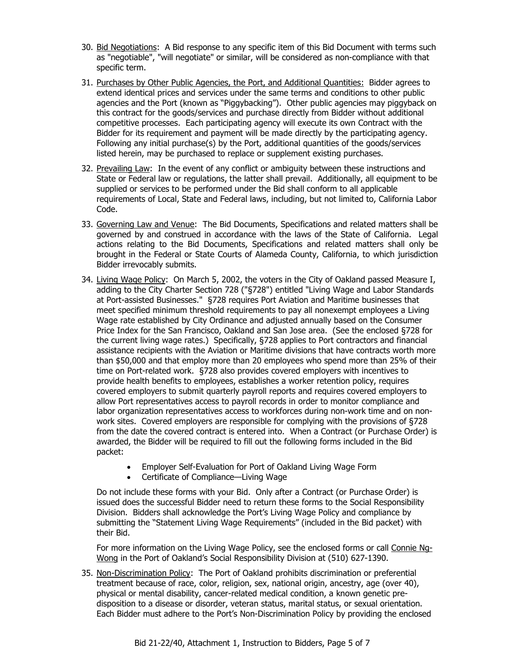- 30. Bid Negotiations: A Bid response to any specific item of this Bid Document with terms such as "negotiable", "will negotiate" or similar, will be considered as non-compliance with that specific term.
- 31. Purchases by Other Public Agencies, the Port, and Additional Quantities: Bidder agrees to extend identical prices and services under the same terms and conditions to other public agencies and the Port (known as "Piggybacking"). Other public agencies may piggyback on this contract for the goods/services and purchase directly from Bidder without additional competitive processes. Each participating agency will execute its own Contract with the Bidder for its requirement and payment will be made directly by the participating agency. Following any initial purchase(s) by the Port, additional quantities of the goods/services listed herein, may be purchased to replace or supplement existing purchases.
- 32. Prevailing Law: In the event of any conflict or ambiguity between these instructions and State or Federal law or regulations, the latter shall prevail. Additionally, all equipment to be supplied or services to be performed under the Bid shall conform to all applicable requirements of Local, State and Federal laws, including, but not limited to, California Labor Code.
- 33. Governing Law and Venue: The Bid Documents, Specifications and related matters shall be governed by and construed in accordance with the laws of the State of California. Legal actions relating to the Bid Documents, Specifications and related matters shall only be brought in the Federal or State Courts of Alameda County, California, to which jurisdiction Bidder irrevocably submits.
- 34. Living Wage Policy: On March 5, 2002, the voters in the City of Oakland passed Measure I, adding to the City Charter Section 728 ("§728") entitled "Living Wage and Labor Standards at Port-assisted Businesses." §728 requires Port Aviation and Maritime businesses that meet specified minimum threshold requirements to pay all nonexempt employees a Living Wage rate established by City Ordinance and adjusted annually based on the Consumer Price Index for the San Francisco, Oakland and San Jose area. (See the enclosed §728 for the current living wage rates.) Specifically, §728 applies to Port contractors and financial assistance recipients with the Aviation or Maritime divisions that have contracts worth more than \$50,000 and that employ more than 20 employees who spend more than 25% of their time on Port-related work. §728 also provides covered employers with incentives to provide health benefits to employees, establishes a worker retention policy, requires covered employers to submit quarterly payroll reports and requires covered employers to allow Port representatives access to payroll records in order to monitor compliance and labor organization representatives access to workforces during non-work time and on nonwork sites. Covered employers are responsible for complying with the provisions of §728 from the date the covered contract is entered into. When a Contract (or Purchase Order) is awarded, the Bidder will be required to fill out the following forms included in the Bid packet:
	- Employer Self-Evaluation for Port of Oakland Living Wage Form
	- Certificate of Compliance—Living Wage

Do not include these forms with your Bid. Only after a Contract (or Purchase Order) is issued does the successful Bidder need to return these forms to the Social Responsibility Division. Bidders shall acknowledge the Port's Living Wage Policy and compliance by submitting the "Statement Living Wage Requirements" (included in the Bid packet) with their Bid.

For more information on the Living Wage Policy, see the enclosed forms or call Connie Ng-Wong in the Port of Oakland's Social Responsibility Division at (510) 627-1390.

35. Non-Discrimination Policy: The Port of Oakland prohibits discrimination or preferential treatment because of race, color, religion, sex, national origin, ancestry, age (over 40), physical or mental disability, cancer-related medical condition, a known genetic predisposition to a disease or disorder, veteran status, marital status, or sexual orientation. Each Bidder must adhere to the Port's Non-Discrimination Policy by providing the enclosed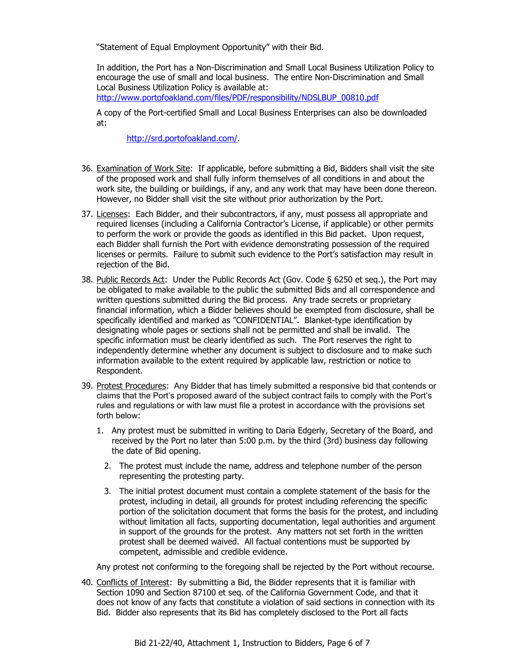"Statement of Equal Employment Opportunity" with their Bid.

In addition, the Port has a Non-Discrimination and Small Local Business Utilization Policy to encourage the use of small and local business. The entire Non-Discrimination and Small Local Business Utilization Policy is available at:

[http://www.portofoakland.com/files/PDF/responsibility/NDSLBUP\\_00810.pdf](http://www.portofoakland.com/files/PDF/responsibility/NDSLBUP_00810.pdf)

A copy of the Port-certified Small and Local Business Enterprises can also be downloaded at:

[http://srd.portofoakland.com/.](http://srd.portofoakland.com/)

- 36. Examination of Work Site: If applicable, before submitting a Bid, Bidders shall visit the site of the proposed work and shall fully inform themselves of all conditions in and about the work site, the building or buildings, if any, and any work that may have been done thereon. However, no Bidder shall visit the site without prior authorization by the Port.
- 37. Licenses: Each Bidder, and their subcontractors, if any, must possess all appropriate and required licenses (including a California Contractor's License, if applicable) or other permits to perform the work or provide the goods as identified in this Bid packet. Upon request, each Bidder shall furnish the Port with evidence demonstrating possession of the required licenses or permits. Failure to submit such evidence to the Port's satisfaction may result in rejection of the Bid.
- 38. Public Records Act: Under the Public Records Act (Gov. Code § 6250 et seq.), the Port may be obligated to make available to the public the submitted Bids and all correspondence and written questions submitted during the Bid process. Any trade secrets or proprietary financial information, which a Bidder believes should be exempted from disclosure, shall be specifically identified and marked as "CONFIDENTIAL". Blanket-type identification by designating whole pages or sections shall not be permitted and shall be invalid. The specific information must be clearly identified as such. The Port reserves the right to independently determine whether any document is subject to disclosure and to make such information available to the extent required by applicable law, restriction or notice to Respondent.
- 39. Protest Procedures:Any Bidder that has timely submitted a responsive bid that contends or claims that the Port's proposed award of the subject contract fails to comply with the Port's rules and regulations or with law must file a protest in accordance with the provisions set forth below:
	- 1. Any protest must be submitted in writing to Daria Edgerly, Secretary of the Board, and received by the Port no later than 5:00 p.m. by the third (3rd) business day following the date of Bid opening.
		- 2. The protest must include the name, address and telephone number of the person representing the protesting party.
		- 3. The initial protest document must contain a complete statement of the basis for the protest, including in detail, all grounds for protest including referencing the specific portion of the solicitation document that forms the basis for the protest, and including without limitation all facts, supporting documentation, legal authorities and argument in support of the grounds for the protest. Any matters not set forth in the written protest shall be deemed waived. All factual contentions must be supported by competent, admissible and credible evidence.

Any protest not conforming to the foregoing shall be rejected by the Port without recourse.

40. Conflicts of Interest: By submitting a Bid, the Bidder represents that it is familiar with Section 1090 and Section 87100 et seq. of the California Government Code, and that it does not know of any facts that constitute a violation of said sections in connection with its Bid. Bidder also represents that its Bid has completely disclosed to the Port all facts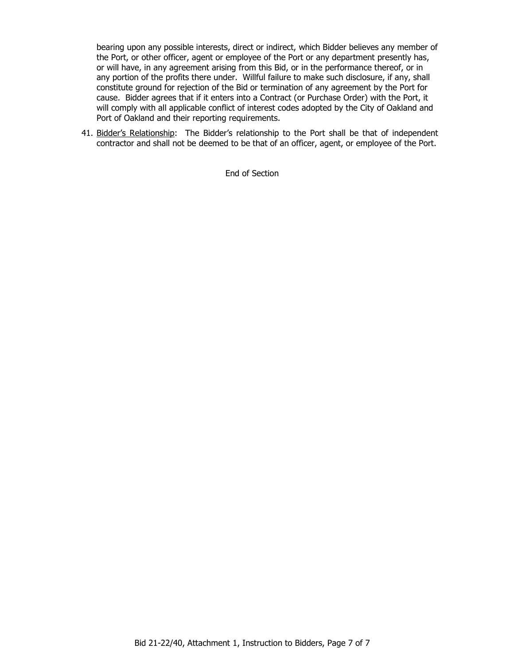bearing upon any possible interests, direct or indirect, which Bidder believes any member of the Port, or other officer, agent or employee of the Port or any department presently has, or will have, in any agreement arising from this Bid, or in the performance thereof, or in any portion of the profits there under. Willful failure to make such disclosure, if any, shall constitute ground for rejection of the Bid or termination of any agreement by the Port for cause. Bidder agrees that if it enters into a Contract (or Purchase Order) with the Port, it will comply with all applicable conflict of interest codes adopted by the City of Oakland and Port of Oakland and their reporting requirements.

41. Bidder's Relationship: The Bidder's relationship to the Port shall be that of independent contractor and shall not be deemed to be that of an officer, agent, or employee of the Port.

End of Section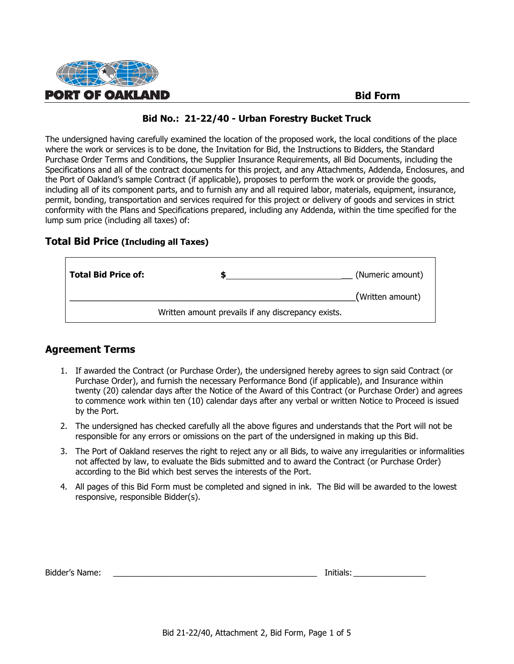

#### **Bid Form**

#### **Bid No.: 21-22/40 - Urban Forestry Bucket Truck**

The undersigned having carefully examined the location of the proposed work, the local conditions of the place where the work or services is to be done, the Invitation for Bid, the Instructions to Bidders, the Standard Purchase Order Terms and Conditions, the Supplier Insurance Requirements, all Bid Documents, including the Specifications and all of the contract documents for this project, and any Attachments, Addenda, Enclosures, and the Port of Oakland's sample Contract (if applicable), proposes to perform the work or provide the goods, including all of its component parts, and to furnish any and all required labor, materials, equipment, insurance, permit, bonding, transportation and services required for this project or delivery of goods and services in strict conformity with the Plans and Specifications prepared, including any Addenda, within the time specified for the lump sum price (including all taxes) of:

#### **Total Bid Price (Including all Taxes)**

| <b>Total Bid Price of:</b> |                                                    | (Numeric amount) |
|----------------------------|----------------------------------------------------|------------------|
|                            |                                                    | (Written amount) |
|                            | Written amount prevails if any discrepancy exists. |                  |

#### **Agreement Terms**

Г

- 1. If awarded the Contract (or Purchase Order), the undersigned hereby agrees to sign said Contract (or Purchase Order), and furnish the necessary Performance Bond (if applicable), and Insurance within twenty (20) calendar days after the Notice of the Award of this Contract (or Purchase Order) and agrees to commence work within ten (10) calendar days after any verbal or written Notice to Proceed is issued by the Port.
- 2. The undersigned has checked carefully all the above figures and understands that the Port will not be responsible for any errors or omissions on the part of the undersigned in making up this Bid.
- 3. The Port of Oakland reserves the right to reject any or all Bids, to waive any irregularities or informalities not affected by law, to evaluate the Bids submitted and to award the Contract (or Purchase Order) according to the Bid which best serves the interests of the Port.
- 4. All pages of this Bid Form must be completed and signed in ink. The Bid will be awarded to the lowest responsive, responsible Bidder(s).

| Bidder's Name: |  | Initials |
|----------------|--|----------|
|----------------|--|----------|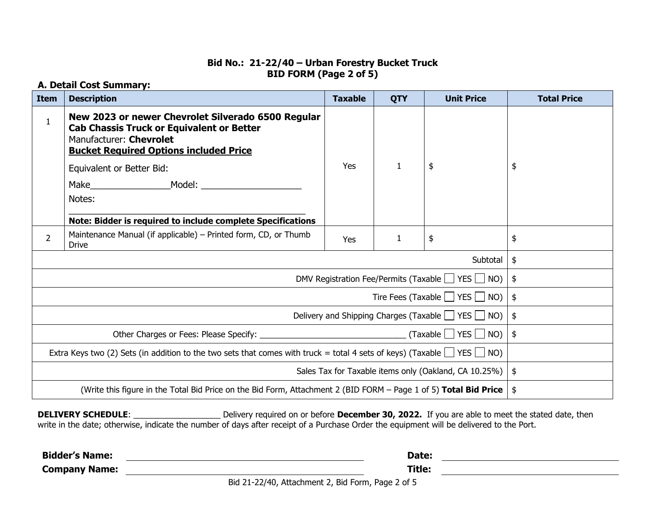## **Bid No.: 21-22/40 – Urban Forestry Bucket Truck BID FORM (Page 2 of 5)**

# **A. Detail Cost Summary:**

| <b>Item</b>                                                                                                                       | <b>Description</b>                                                                                                                                                                 | <b>Taxable</b> | <b>QTY</b>   | <b>Unit Price</b> | <b>Total Price</b> |
|-----------------------------------------------------------------------------------------------------------------------------------|------------------------------------------------------------------------------------------------------------------------------------------------------------------------------------|----------------|--------------|-------------------|--------------------|
| $\mathbf{1}$                                                                                                                      | New 2023 or newer Chevrolet Silverado 6500 Regular<br><b>Cab Chassis Truck or Equivalent or Better</b><br>Manufacturer: Chevrolet<br><b>Bucket Required Options included Price</b> |                |              |                   |                    |
|                                                                                                                                   | Equivalent or Better Bid:                                                                                                                                                          | Yes            | $\mathbf{1}$ | \$                | \$                 |
|                                                                                                                                   |                                                                                                                                                                                    |                |              |                   |                    |
|                                                                                                                                   | Notes:                                                                                                                                                                             |                |              |                   |                    |
|                                                                                                                                   | Note: Bidder is required to include complete Specifications                                                                                                                        |                |              |                   |                    |
| $\overline{2}$                                                                                                                    | Maintenance Manual (if applicable) – Printed form, CD, or Thumb<br><b>Drive</b>                                                                                                    | Yes            | 1            | \$                | \$                 |
|                                                                                                                                   |                                                                                                                                                                                    |                |              | Subtotal          | \$                 |
|                                                                                                                                   | DMV Registration Fee/Permits (Taxable $\Box$ YES $\Box$ NO)                                                                                                                        |                |              |                   | \$                 |
|                                                                                                                                   | Tire Fees (Taxable $\Box$ YES $\Box$ NO)                                                                                                                                           |                |              |                   | \$                 |
|                                                                                                                                   | Delivery and Shipping Charges (Taxable $\Box$ YES $\Box$ NO)                                                                                                                       |                |              |                   | \$                 |
|                                                                                                                                   |                                                                                                                                                                                    |                |              | \$                |                    |
| Extra Keys two (2) Sets (in addition to the two sets that comes with truck = total 4 sets of keys) (Taxable $\Box$ YES $\Box$ NO) |                                                                                                                                                                                    |                |              |                   |                    |
| Sales Tax for Taxable items only (Oakland, CA 10.25%)                                                                             |                                                                                                                                                                                    |                |              | \$                |                    |
| (Write this figure in the Total Bid Price on the Bid Form, Attachment 2 (BID FORM - Page 1 of 5) Total Bid Price                  |                                                                                                                                                                                    |                |              | \$                |                    |

**DELIVERY SCHEDULE**: \_\_\_\_\_\_\_\_\_\_\_\_\_\_\_\_\_\_\_ Delivery required on or before **December 30, 2022.** If you are able to meet the stated date, then write in the date; otherwise, indicate the number of days after receipt of a Purchase Order the equipment will be delivered to the Port.

**Bidder's Name:** <u>Constantine and Constantine and Constantine and Constantine and Constantine and Constantine and Constantine and Constantine and Constantine and Constantine and Constantine and Constantine and Constantine </u>

**Company Name: Title:**

Bid 21-22/40, Attachment 2, Bid Form, Page 2 of 5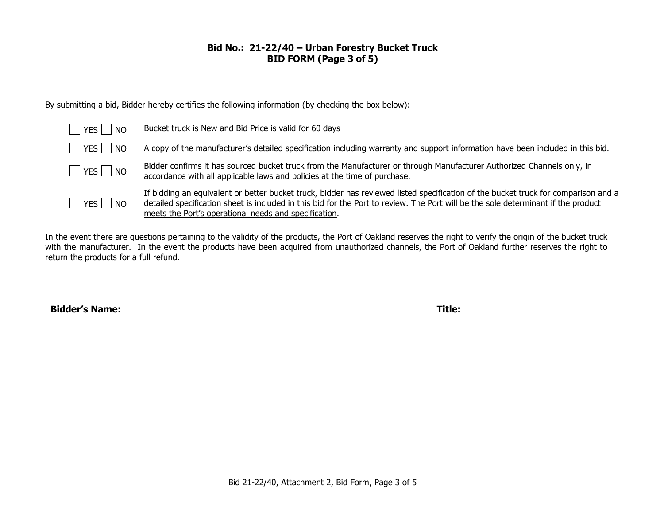## **Bid No.: 21-22/40 – Urban Forestry Bucket Truck BID FORM (Page 3 of 5)**

By submitting a bid, Bidder hereby certifies the following information (by checking the box below):

| $\Box$ YES $\Box$ NO | Bucket truck is New and Bid Price is valid for 60 days                                                                                                                                                                                                                                                                           |
|----------------------|----------------------------------------------------------------------------------------------------------------------------------------------------------------------------------------------------------------------------------------------------------------------------------------------------------------------------------|
| $\Box$ YES $\Box$ NO | A copy of the manufacturer's detailed specification including warranty and support information have been included in this bid.                                                                                                                                                                                                   |
| $\Box$ YES $\Box$ NO | Bidder confirms it has sourced bucket truck from the Manufacturer or through Manufacturer Authorized Channels only, in<br>accordance with all applicable laws and policies at the time of purchase.                                                                                                                              |
| $\Box$ YES $\Box$ NO | If bidding an equivalent or better bucket truck, bidder has reviewed listed specification of the bucket truck for comparison and a<br>detailed specification sheet is included in this bid for the Port to review. The Port will be the sole determinant if the product<br>meets the Port's operational needs and specification. |

In the event there are questions pertaining to the validity of the products, the Port of Oakland reserves the right to verify the origin of the bucket truck with the manufacturer. In the event the products have been acquired from unauthorized channels, the Port of Oakland further reserves the right to return the products for a full refund.

**Bidder's Name: Title:**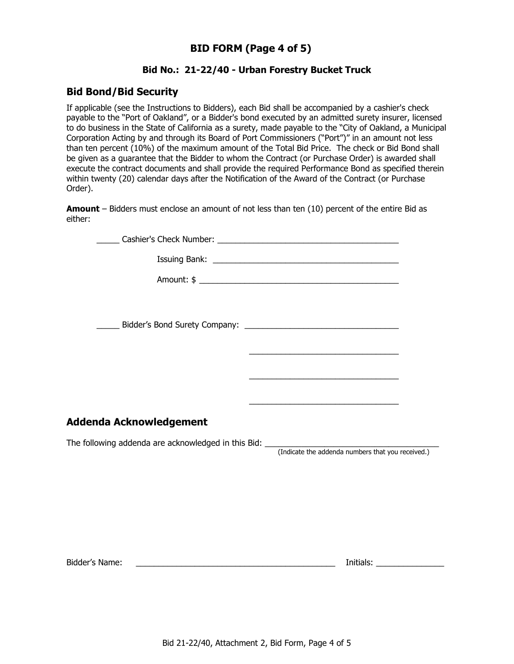# **BID FORM (Page 4 of 5)**

# **Bid No.: 21-22/40 - Urban Forestry Bucket Truck**

# **Bid Bond/Bid Security**

If applicable (see the Instructions to Bidders), each Bid shall be accompanied by a cashier's check payable to the "Port of Oakland", or a Bidder's bond executed by an admitted surety insurer, licensed to do business in the State of California as a surety, made payable to the "City of Oakland, a Municipal Corporation Acting by and through its Board of Port Commissioners ("Port")" in an amount not less than ten percent (10%) of the maximum amount of the Total Bid Price. The check or Bid Bond shall be given as a guarantee that the Bidder to whom the Contract (or Purchase Order) is awarded shall execute the contract documents and shall provide the required Performance Bond as specified therein within twenty (20) calendar days after the Notification of the Award of the Contract (or Purchase Order).

**Amount** – Bidders must enclose an amount of not less than ten (10) percent of the entire Bid as either:

| Addenda Acknowledgement                                                                                                                |  |
|----------------------------------------------------------------------------------------------------------------------------------------|--|
| The following addenda are acknowledged in this Bid: _____________________________<br>(Indicate the addenda numbers that you received.) |  |
|                                                                                                                                        |  |
|                                                                                                                                        |  |
|                                                                                                                                        |  |

Bidder's Name: \_\_\_\_\_\_\_\_\_\_\_\_\_\_\_\_\_\_\_\_\_\_\_\_\_\_\_\_\_\_\_\_\_\_\_\_\_\_\_\_\_\_\_\_ Initials: \_\_\_\_\_\_\_\_\_\_\_\_\_\_\_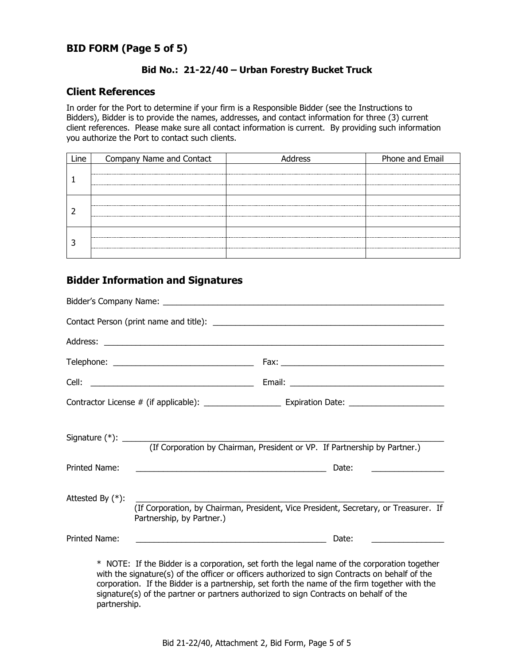# **BID FORM (Page 5 of 5)**

#### **Bid No.: 21-22/40 – Urban Forestry Bucket Truck**

#### **Client References**

In order for the Port to determine if your firm is a Responsible Bidder (see the Instructions to Bidders), Bidder is to provide the names, addresses, and contact information for three (3) current client references. Please make sure all contact information is current. By providing such information you authorize the Port to contact such clients.

| Company Name and Contact | idress | Phone and Email |
|--------------------------|--------|-----------------|
|                          |        |                 |
|                          |        |                 |
|                          |        |                 |
|                          |        |                 |
|                          |        |                 |
|                          |        |                 |
|                          |        |                 |
|                          |        |                 |

# **Bidder Information and Signatures**

|                     | (If Corporation by Chairman, President or VP. If Partnership by Partner.)                                                                                                                      |  |
|---------------------|------------------------------------------------------------------------------------------------------------------------------------------------------------------------------------------------|--|
| Printed Name:       | Date:<br><u> 1990 - Johann Barbara, martin amerikan basar dan berasal dalam basa dalam basar dalam basar dalam basar dala</u>                                                                  |  |
| Attested By $(*)$ : | (If Corporation, by Chairman, President, Vice President, Secretary, or Treasurer. If<br>Partnership, by Partner.)                                                                              |  |
| Printed Name:       | Date:<br><u> 1989 - Johann Barn, fransk politik amerikansk politik (</u>                                                                                                                       |  |
|                     | * NOTE: If the Bidder is a corporation, set forth the legal name of the corporation together<br>with the signature(s) of the officer or officers authorized to sign Contracts on behalf of the |  |

with the signature(s) of the officer or officers authorized to sign Contracts on behalf of the corporation. If the Bidder is a partnership, set forth the name of the firm together with the signature(s) of the partner or partners authorized to sign Contracts on behalf of the partnership.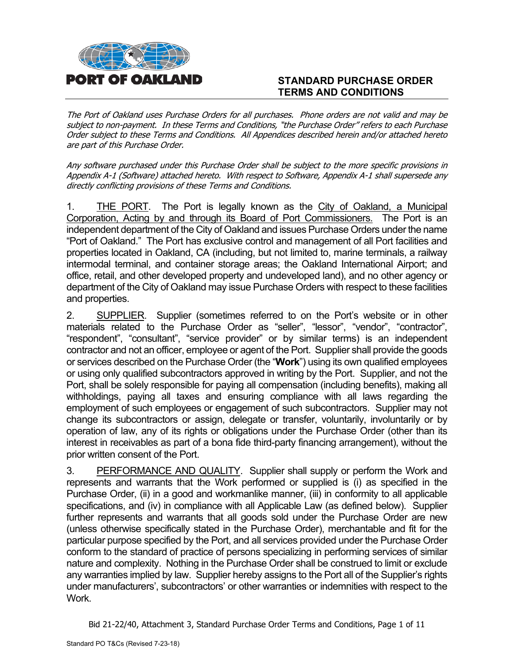

# **STANDARD PURCHASE ORDER TERMS AND CONDITIONS**

The Port of Oakland uses Purchase Orders for all purchases. Phone orders are not valid and may be subject to non-payment. In these Terms and Conditions, "the Purchase Order" refers to each Purchase Order subject to these Terms and Conditions. All Appendices described herein and/or attached hereto are part of this Purchase Order.

Any software purchased under this Purchase Order shall be subject to the more specific provisions in Appendix A-1 (Software) attached hereto. With respect to Software, Appendix A-1 shall supersede any directly conflicting provisions of these Terms and Conditions.

1. THE PORT. The Port is legally known as the City of Oakland, a Municipal Corporation, Acting by and through its Board of Port Commissioners. The Port is an independent department of the City of Oakland and issues Purchase Orders under the name "Port of Oakland." The Port has exclusive control and management of all Port facilities and properties located in Oakland, CA (including, but not limited to, marine terminals, a railway intermodal terminal, and container storage areas; the Oakland International Airport; and office, retail, and other developed property and undeveloped land), and no other agency or department of the City of Oakland may issue Purchase Orders with respect to these facilities and properties.

2. SUPPLIER. Supplier (sometimes referred to on the Port's website or in other materials related to the Purchase Order as "seller", "lessor", "vendor", "contractor", "respondent", "consultant", "service provider" or by similar terms) is an independent contractor and not an officer, employee or agent of the Port. Supplier shall provide the goods or services described on the Purchase Order (the "**Work**") using its own qualified employees or using only qualified subcontractors approved in writing by the Port. Supplier, and not the Port, shall be solely responsible for paying all compensation (including benefits), making all withholdings, paying all taxes and ensuring compliance with all laws regarding the employment of such employees or engagement of such subcontractors. Supplier may not change its subcontractors or assign, delegate or transfer, voluntarily, involuntarily or by operation of law, any of its rights or obligations under the Purchase Order (other than its interest in receivables as part of a bona fide third-party financing arrangement), without the prior written consent of the Port.

3. PERFORMANCE AND QUALITY. Supplier shall supply or perform the Work and represents and warrants that the Work performed or supplied is (i) as specified in the Purchase Order, (ii) in a good and workmanlike manner, (iii) in conformity to all applicable specifications, and (iv) in compliance with all Applicable Law (as defined below). Supplier further represents and warrants that all goods sold under the Purchase Order are new (unless otherwise specifically stated in the Purchase Order), merchantable and fit for the particular purpose specified by the Port, and all services provided under the Purchase Order conform to the standard of practice of persons specializing in performing services of similar nature and complexity. Nothing in the Purchase Order shall be construed to limit or exclude any warranties implied by law. Supplier hereby assigns to the Port all of the Supplier's rights under manufacturers', subcontractors' or other warranties or indemnities with respect to the Work.

Bid 21-22/40, Attachment 3, Standard Purchase Order Terms and Conditions, Page 1 of 11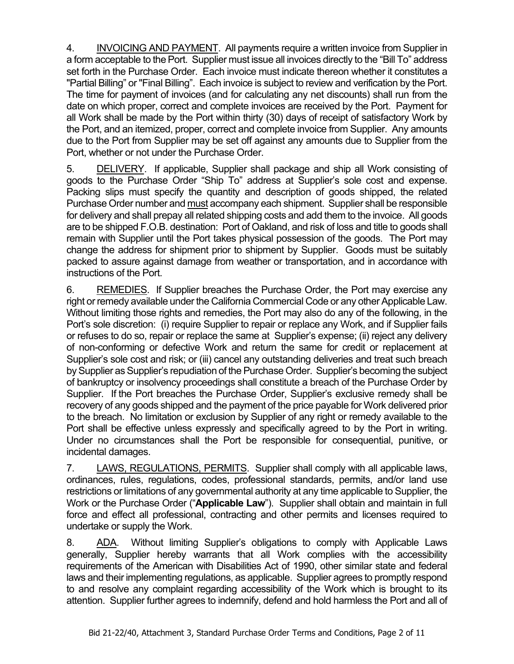4. INVOICING AND PAYMENT. All payments require a written invoice from Supplier in a form acceptable to the Port. Supplier must issue all invoices directly to the "Bill To" address set forth in the Purchase Order. Each invoice must indicate thereon whether it constitutes a "Partial Billing" or "Final Billing". Each invoice is subject to review and verification by the Port. The time for payment of invoices (and for calculating any net discounts) shall run from the date on which proper, correct and complete invoices are received by the Port. Payment for all Work shall be made by the Port within thirty (30) days of receipt of satisfactory Work by the Port, and an itemized, proper, correct and complete invoice from Supplier. Any amounts due to the Port from Supplier may be set off against any amounts due to Supplier from the Port, whether or not under the Purchase Order.

5. DELIVERY. If applicable, Supplier shall package and ship all Work consisting of goods to the Purchase Order "Ship To" address at Supplier's sole cost and expense. Packing slips must specify the quantity and description of goods shipped, the related Purchase Order number and must accompany each shipment. Supplier shall be responsible for delivery and shall prepay all related shipping costs and add them to the invoice. All goods are to be shipped F.O.B. destination: Port of Oakland, and risk of loss and title to goods shall remain with Supplier until the Port takes physical possession of the goods. The Port may change the address for shipment prior to shipment by Supplier. Goods must be suitably packed to assure against damage from weather or transportation, and in accordance with instructions of the Port.

6. REMEDIES. If Supplier breaches the Purchase Order, the Port may exercise any right or remedy available under the California Commercial Code or any other Applicable Law. Without limiting those rights and remedies, the Port may also do any of the following, in the Port's sole discretion: (i) require Supplier to repair or replace any Work, and if Supplier fails or refuses to do so, repair or replace the same at Supplier's expense; (ii) reject any delivery of non-conforming or defective Work and return the same for credit or replacement at Supplier's sole cost and risk; or (iii) cancel any outstanding deliveries and treat such breach by Supplier as Supplier's repudiation of the Purchase Order. Supplier's becoming the subject of bankruptcy or insolvency proceedings shall constitute a breach of the Purchase Order by Supplier. If the Port breaches the Purchase Order, Supplier's exclusive remedy shall be recovery of any goods shipped and the payment of the price payable for Work delivered prior to the breach. No limitation or exclusion by Supplier of any right or remedy available to the Port shall be effective unless expressly and specifically agreed to by the Port in writing. Under no circumstances shall the Port be responsible for consequential, punitive, or incidental damages.

7. LAWS, REGULATIONS, PERMITS. Supplier shall comply with all applicable laws, ordinances, rules, regulations, codes, professional standards, permits, and/or land use restrictions or limitations of any governmental authority at any time applicable to Supplier, the Work or the Purchase Order ("**Applicable Law**"). Supplier shall obtain and maintain in full force and effect all professional, contracting and other permits and licenses required to undertake or supply the Work.

8. ADA. Without limiting Supplier's obligations to comply with Applicable Laws generally, Supplier hereby warrants that all Work complies with the accessibility requirements of the American with Disabilities Act of 1990, other similar state and federal laws and their implementing regulations, as applicable. Supplier agrees to promptly respond to and resolve any complaint regarding accessibility of the Work which is brought to its attention. Supplier further agrees to indemnify, defend and hold harmless the Port and all of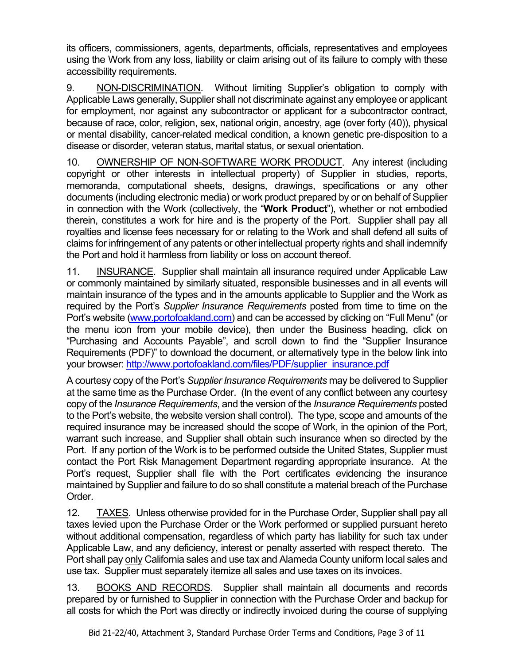its officers, commissioners, agents, departments, officials, representatives and employees using the Work from any loss, liability or claim arising out of its failure to comply with these accessibility requirements.

9. NON-DISCRIMINATION. Without limiting Supplier's obligation to comply with Applicable Laws generally, Supplier shall not discriminate against any employee or applicant for employment, nor against any subcontractor or applicant for a subcontractor contract, because of race, color, religion, sex, national origin, ancestry, age (over forty (40)), physical or mental disability, cancer-related medical condition, a known genetic pre-disposition to a disease or disorder, veteran status, marital status, or sexual orientation.

10. OWNERSHIP OF NON-SOFTWARE WORK PRODUCT. Any interest (including copyright or other interests in intellectual property) of Supplier in studies, reports, memoranda, computational sheets, designs, drawings, specifications or any other documents (including electronic media) or work product prepared by or on behalf of Supplier in connection with the Work (collectively, the "**Work Product**"), whether or not embodied therein, constitutes a work for hire and is the property of the Port. Supplier shall pay all royalties and license fees necessary for or relating to the Work and shall defend all suits of claims for infringement of any patents or other intellectual property rights and shall indemnify the Port and hold it harmless from liability or loss on account thereof.

11. INSURANCE. Supplier shall maintain all insurance required under Applicable Law or commonly maintained by similarly situated, responsible businesses and in all events will maintain insurance of the types and in the amounts applicable to Supplier and the Work as required by the Port's *Supplier Insurance Requirements* posted from time to time on the Port's website [\(www.portofoakland.com\)](http://www.portofoakland.com/) and can be accessed by clicking on "Full Menu" (or the menu icon from your mobile device), then under the Business heading, click on "Purchasing and Accounts Payable", and scroll down to find the "Supplier Insurance Requirements (PDF)" to download the document, or alternatively type in the below link into your browser: [http://www.portofoakland.com/files/PDF/supplier\\_insurance.pdf](http://www.portofoakland.com/files/PDF/supplier_insurance.pdf)

A courtesy copy of the Port's *Supplier Insurance Requirements* may be delivered to Supplier at the same time as the Purchase Order. (In the event of any conflict between any courtesy copy of the *Insurance Requirements*, and the version of the *Insurance Requirements* posted to the Port's website, the website version shall control). The type, scope and amounts of the required insurance may be increased should the scope of Work, in the opinion of the Port, warrant such increase, and Supplier shall obtain such insurance when so directed by the Port. If any portion of the Work is to be performed outside the United States, Supplier must contact the Port Risk Management Department regarding appropriate insurance. At the Port's request, Supplier shall file with the Port certificates evidencing the insurance maintained by Supplier and failure to do so shall constitute a material breach of the Purchase Order.

12. TAXES. Unless otherwise provided for in the Purchase Order, Supplier shall pay all taxes levied upon the Purchase Order or the Work performed or supplied pursuant hereto without additional compensation, regardless of which party has liability for such tax under Applicable Law, and any deficiency, interest or penalty asserted with respect thereto. The Port shall pay only California sales and use tax and Alameda County uniform local sales and use tax. Supplier must separately itemize all sales and use taxes on its invoices.

13. BOOKS AND RECORDS. Supplier shall maintain all documents and records prepared by or furnished to Supplier in connection with the Purchase Order and backup for all costs for which the Port was directly or indirectly invoiced during the course of supplying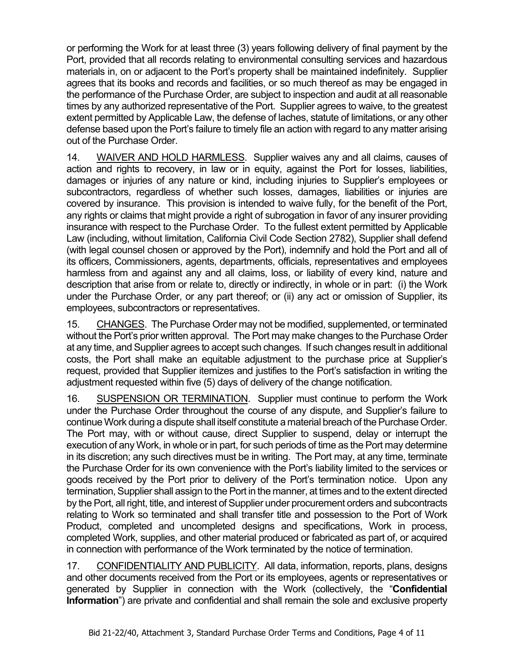or performing the Work for at least three (3) years following delivery of final payment by the Port, provided that all records relating to environmental consulting services and hazardous materials in, on or adjacent to the Port's property shall be maintained indefinitely. Supplier agrees that its books and records and facilities, or so much thereof as may be engaged in the performance of the Purchase Order, are subject to inspection and audit at all reasonable times by any authorized representative of the Port. Supplier agrees to waive, to the greatest extent permitted by Applicable Law, the defense of laches, statute of limitations, or any other defense based upon the Port's failure to timely file an action with regard to any matter arising out of the Purchase Order.

14. WAIVER AND HOLD HARMLESS. Supplier waives any and all claims, causes of action and rights to recovery, in law or in equity, against the Port for losses, liabilities, damages or injuries of any nature or kind, including injuries to Supplier's employees or subcontractors, regardless of whether such losses, damages, liabilities or injuries are covered by insurance. This provision is intended to waive fully, for the benefit of the Port, any rights or claims that might provide a right of subrogation in favor of any insurer providing insurance with respect to the Purchase Order. To the fullest extent permitted by Applicable Law (including, without limitation, California Civil Code Section 2782), Supplier shall defend (with legal counsel chosen or approved by the Port), indemnify and hold the Port and all of its officers, Commissioners, agents, departments, officials, representatives and employees harmless from and against any and all claims, loss, or liability of every kind, nature and description that arise from or relate to, directly or indirectly, in whole or in part: (i) the Work under the Purchase Order, or any part thereof; or (ii) any act or omission of Supplier, its employees, subcontractors or representatives.

15. CHANGES. The Purchase Order may not be modified, supplemented, or terminated without the Port's prior written approval. The Port may make changes to the Purchase Order at any time, and Supplier agrees to accept such changes. If such changes result in additional costs, the Port shall make an equitable adjustment to the purchase price at Supplier's request, provided that Supplier itemizes and justifies to the Port's satisfaction in writing the adjustment requested within five (5) days of delivery of the change notification.

16. SUSPENSION OR TERMINATION. Supplier must continue to perform the Work under the Purchase Order throughout the course of any dispute, and Supplier's failure to continue Work during a dispute shall itself constitute a material breach of the Purchase Order. The Port may, with or without cause, direct Supplier to suspend, delay or interrupt the execution of any Work, in whole or in part, for such periods of time as the Port may determine in its discretion; any such directives must be in writing. The Port may, at any time, terminate the Purchase Order for its own convenience with the Port's liability limited to the services or goods received by the Port prior to delivery of the Port's termination notice. Upon any termination, Supplier shall assign to the Port in the manner, at times and to the extent directed by the Port, all right, title, and interest of Supplier under procurement orders and subcontracts relating to Work so terminated and shall transfer title and possession to the Port of Work Product, completed and uncompleted designs and specifications, Work in process, completed Work, supplies, and other material produced or fabricated as part of, or acquired in connection with performance of the Work terminated by the notice of termination.

17. CONFIDENTIALITY AND PUBLICITY. All data, information, reports, plans, designs and other documents received from the Port or its employees, agents or representatives or generated by Supplier in connection with the Work (collectively, the "**Confidential Information**") are private and confidential and shall remain the sole and exclusive property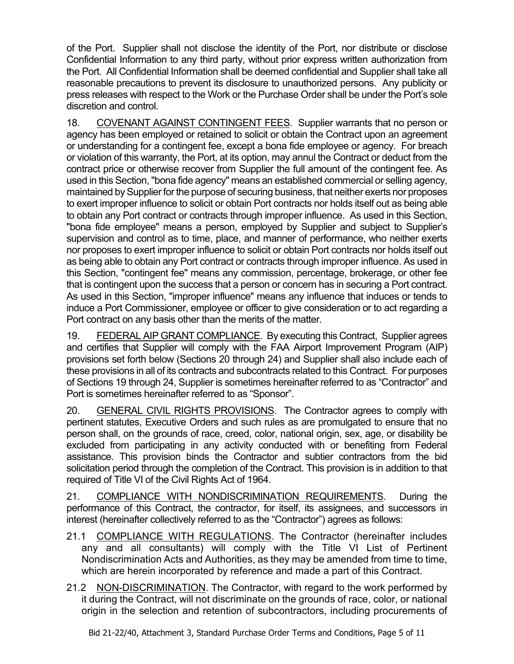of the Port. Supplier shall not disclose the identity of the Port, nor distribute or disclose Confidential Information to any third party, without prior express written authorization from the Port. All Confidential Information shall be deemed confidential and Supplier shall take all reasonable precautions to prevent its disclosure to unauthorized persons. Any publicity or press releases with respect to the Work or the Purchase Order shall be under the Port's sole discretion and control.

18. COVENANT AGAINST CONTINGENT FEES. Supplier warrants that no person or agency has been employed or retained to solicit or obtain the Contract upon an agreement or understanding for a contingent fee, except a bona fide employee or agency. For breach or violation of this warranty, the Port, at its option, may annul the Contract or deduct from the contract price or otherwise recover from Supplier the full amount of the contingent fee. As used in this Section, "bona fide agency" means an established commercial or selling agency, maintained by Supplier for the purpose of securing business, that neither exerts nor proposes to exert improper influence to solicit or obtain Port contracts nor holds itself out as being able to obtain any Port contract or contracts through improper influence. As used in this Section, "bona fide employee" means a person, employed by Supplier and subject to Supplier's supervision and control as to time, place, and manner of performance, who neither exerts nor proposes to exert improper influence to solicit or obtain Port contracts nor holds itself out as being able to obtain any Port contract or contracts through improper influence. As used in this Section, "contingent fee" means any commission, percentage, brokerage, or other fee that is contingent upon the success that a person or concern has in securing a Port contract. As used in this Section, "improper influence" means any influence that induces or tends to induce a Port Commissioner, employee or officer to give consideration or to act regarding a Port contract on any basis other than the merits of the matter.

19. FEDERAL AIP GRANT COMPLIANCE. By executing this Contract, Supplier agrees and certifies that Supplier will comply with the FAA Airport Improvement Program (AIP) provisions set forth below (Sections 20 through 24) and Supplier shall also include each of these provisions in all of its contracts and subcontracts related to this Contract. For purposes of Sections 19 through 24, Supplier is sometimes hereinafter referred to as "Contractor" and Port is sometimes hereinafter referred to as "Sponsor".

20. GENERAL CIVIL RIGHTS PROVISIONS. The Contractor agrees to comply with pertinent statutes, Executive Orders and such rules as are promulgated to ensure that no person shall, on the grounds of race, creed, color, national origin, sex, age, or disability be excluded from participating in any activity conducted with or benefiting from Federal assistance. This provision binds the Contractor and subtier contractors from the bid solicitation period through the completion of the Contract. This provision is in addition to that required of Title VI of the Civil Rights Act of 1964.

21. COMPLIANCE WITH NONDISCRIMINATION REQUIREMENTS. During the performance of this Contract, the contractor, for itself, its assignees, and successors in interest (hereinafter collectively referred to as the "Contractor") agrees as follows:

- 21.1 COMPLIANCE WITH REGULATIONS. The Contractor (hereinafter includes any and all consultants) will comply with the Title VI List of Pertinent Nondiscrimination Acts and Authorities, as they may be amended from time to time, which are herein incorporated by reference and made a part of this Contract.
- 21.2 NON-DISCRIMINATION. The Contractor, with regard to the work performed by it during the Contract, will not discriminate on the grounds of race, color, or national origin in the selection and retention of subcontractors, including procurements of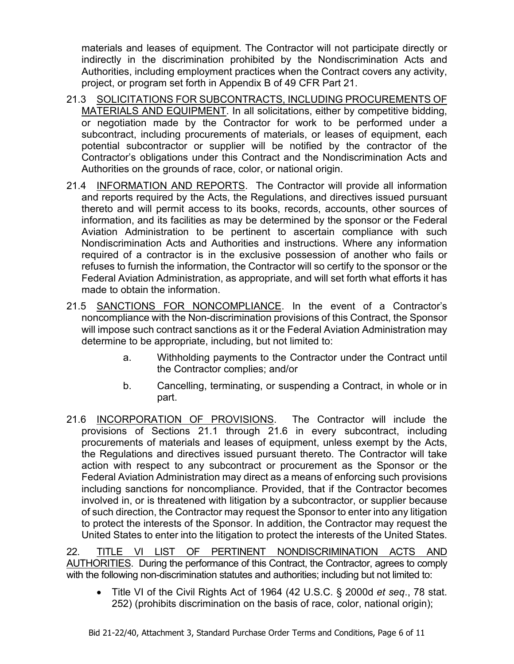materials and leases of equipment. The Contractor will not participate directly or indirectly in the discrimination prohibited by the Nondiscrimination Acts and Authorities, including employment practices when the Contract covers any activity, project, or program set forth in Appendix B of 49 CFR Part 21.

- 21.3 SOLICITATIONS FOR SUBCONTRACTS, INCLUDING PROCUREMENTS OF MATERIALS AND EQUIPMENT. In all solicitations, either by competitive bidding, or negotiation made by the Contractor for work to be performed under a subcontract, including procurements of materials, or leases of equipment, each potential subcontractor or supplier will be notified by the contractor of the Contractor's obligations under this Contract and the Nondiscrimination Acts and Authorities on the grounds of race, color, or national origin.
- 21.4 INFORMATION AND REPORTS. The Contractor will provide all information and reports required by the Acts, the Regulations, and directives issued pursuant thereto and will permit access to its books, records, accounts, other sources of information, and its facilities as may be determined by the sponsor or the Federal Aviation Administration to be pertinent to ascertain compliance with such Nondiscrimination Acts and Authorities and instructions. Where any information required of a contractor is in the exclusive possession of another who fails or refuses to furnish the information, the Contractor will so certify to the sponsor or the Federal Aviation Administration, as appropriate, and will set forth what efforts it has made to obtain the information.
- 21.5 SANCTIONS FOR NONCOMPLIANCE. In the event of a Contractor's noncompliance with the Non-discrimination provisions of this Contract, the Sponsor will impose such contract sanctions as it or the Federal Aviation Administration may determine to be appropriate, including, but not limited to:
	- a. Withholding payments to the Contractor under the Contract until the Contractor complies; and/or
	- b. Cancelling, terminating, or suspending a Contract, in whole or in part.
- 21.6 INCORPORATION OF PROVISIONS.The Contractor will include the provisions of Sections 21.1 through 21.6 in every subcontract, including procurements of materials and leases of equipment, unless exempt by the Acts, the Regulations and directives issued pursuant thereto. The Contractor will take action with respect to any subcontract or procurement as the Sponsor or the Federal Aviation Administration may direct as a means of enforcing such provisions including sanctions for noncompliance. Provided, that if the Contractor becomes involved in, or is threatened with litigation by a subcontractor, or supplier because of such direction, the Contractor may request the Sponsor to enter into any litigation to protect the interests of the Sponsor. In addition, the Contractor may request the United States to enter into the litigation to protect the interests of the United States.

22. TITLE VI LIST OF PERTINENT NONDISCRIMINATION ACTS AND AUTHORITIES. During the performance of this Contract, the Contractor, agrees to comply with the following non-discrimination statutes and authorities; including but not limited to:

• Title VI of the Civil Rights Act of 1964 (42 U.S.C. § 2000d *et seq*., 78 stat. 252) (prohibits discrimination on the basis of race, color, national origin);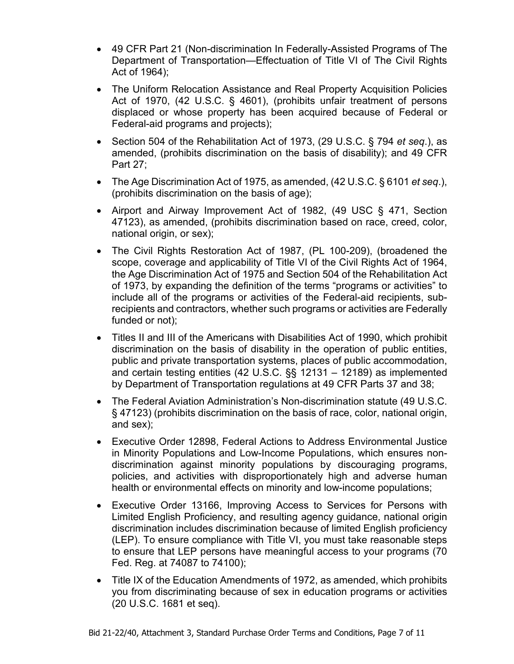- 49 CFR Part 21 (Non-discrimination In Federally-Assisted Programs of The Department of Transportation—Effectuation of Title VI of The Civil Rights Act of 1964);
- The Uniform Relocation Assistance and Real Property Acquisition Policies Act of 1970, (42 U.S.C. § 4601), (prohibits unfair treatment of persons displaced or whose property has been acquired because of Federal or Federal-aid programs and projects);
- Section 504 of the Rehabilitation Act of 1973, (29 U.S.C. § 794 *et seq*.), as amended, (prohibits discrimination on the basis of disability); and 49 CFR Part 27;
- The Age Discrimination Act of 1975, as amended, (42 U.S.C. § 6101 *et seq*.), (prohibits discrimination on the basis of age);
- Airport and Airway Improvement Act of 1982, (49 USC § 471, Section 47123), as amended, (prohibits discrimination based on race, creed, color, national origin, or sex);
- The Civil Rights Restoration Act of 1987, (PL 100-209), (broadened the scope, coverage and applicability of Title VI of the Civil Rights Act of 1964, the Age Discrimination Act of 1975 and Section 504 of the Rehabilitation Act of 1973, by expanding the definition of the terms "programs or activities" to include all of the programs or activities of the Federal-aid recipients, subrecipients and contractors, whether such programs or activities are Federally funded or not);
- Titles II and III of the Americans with Disabilities Act of 1990, which prohibit discrimination on the basis of disability in the operation of public entities, public and private transportation systems, places of public accommodation, and certain testing entities (42 U.S.C. §§ 12131 – 12189) as implemented by Department of Transportation regulations at 49 CFR Parts 37 and 38;
- The Federal Aviation Administration's Non-discrimination statute (49 U.S.C. § 47123) (prohibits discrimination on the basis of race, color, national origin, and sex);
- Executive Order 12898, Federal Actions to Address Environmental Justice in Minority Populations and Low-Income Populations, which ensures nondiscrimination against minority populations by discouraging programs, policies, and activities with disproportionately high and adverse human health or environmental effects on minority and low-income populations;
- Executive Order 13166, Improving Access to Services for Persons with Limited English Proficiency, and resulting agency guidance, national origin discrimination includes discrimination because of limited English proficiency (LEP). To ensure compliance with Title VI, you must take reasonable steps to ensure that LEP persons have meaningful access to your programs (70 Fed. Reg. at 74087 to 74100);
- Title IX of the Education Amendments of 1972, as amended, which prohibits you from discriminating because of sex in education programs or activities (20 U.S.C. 1681 et seq).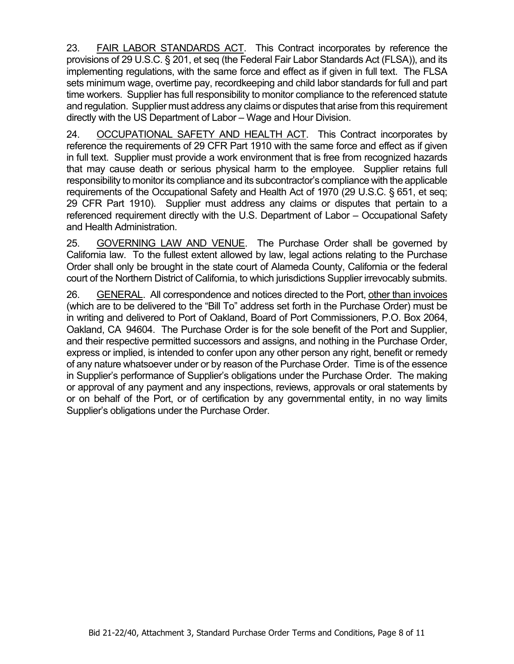23. FAIR LABOR STANDARDS ACT. This Contract incorporates by reference the provisions of 29 U.S.C. § 201, et seq (the Federal Fair Labor Standards Act (FLSA)), and its implementing regulations, with the same force and effect as if given in full text. The FLSA sets minimum wage, overtime pay, recordkeeping and child labor standards for full and part time workers. Supplier has full responsibility to monitor compliance to the referenced statute and regulation. Supplier must address any claims or disputes that arise from this requirement directly with the US Department of Labor – Wage and Hour Division.

24. OCCUPATIONAL SAFETY AND HEALTH ACT.This Contract incorporates by reference the requirements of 29 CFR Part 1910 with the same force and effect as if given in full text. Supplier must provide a work environment that is free from recognized hazards that may cause death or serious physical harm to the employee. Supplier retains full responsibility to monitor its compliance and its subcontractor's compliance with the applicable requirements of the Occupational Safety and Health Act of 1970 (29 U.S.C. § 651, et seq; 29 CFR Part 1910). Supplier must address any claims or disputes that pertain to a referenced requirement directly with the U.S. Department of Labor – Occupational Safety and Health Administration.

25. GOVERNING LAW AND VENUE. The Purchase Order shall be governed by California law. To the fullest extent allowed by law, legal actions relating to the Purchase Order shall only be brought in the state court of Alameda County, California or the federal court of the Northern District of California, to which jurisdictions Supplier irrevocably submits.

26. GENERAL. All correspondence and notices directed to the Port, other than invoices (which are to be delivered to the "Bill To" address set forth in the Purchase Order) must be in writing and delivered to Port of Oakland, Board of Port Commissioners, P.O. Box 2064, Oakland, CA 94604. The Purchase Order is for the sole benefit of the Port and Supplier, and their respective permitted successors and assigns, and nothing in the Purchase Order, express or implied, is intended to confer upon any other person any right, benefit or remedy of any nature whatsoever under or by reason of the Purchase Order. Time is of the essence in Supplier's performance of Supplier's obligations under the Purchase Order. The making or approval of any payment and any inspections, reviews, approvals or oral statements by or on behalf of the Port, or of certification by any governmental entity, in no way limits Supplier's obligations under the Purchase Order.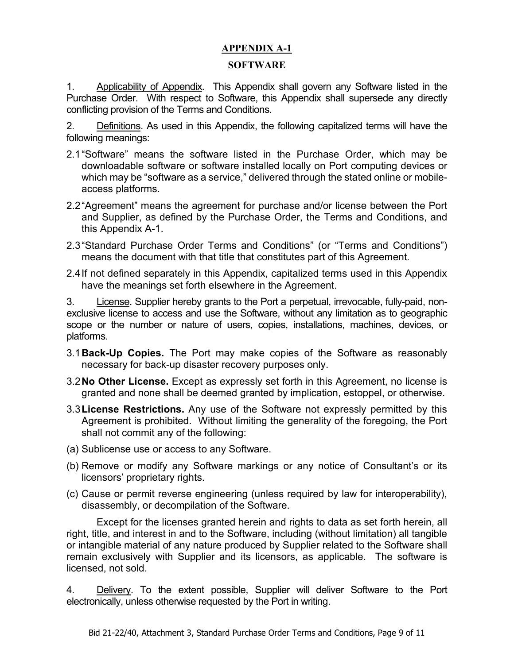# **APPENDIX A-1**

#### **SOFTWARE**

1. Applicability of Appendix. This Appendix shall govern any Software listed in the Purchase Order. With respect to Software, this Appendix shall supersede any directly conflicting provision of the Terms and Conditions.

2. Definitions. As used in this Appendix, the following capitalized terms will have the following meanings:

- 2.1"Software" means the software listed in the Purchase Order, which may be downloadable software or software installed locally on Port computing devices or which may be "software as a service," delivered through the stated online or mobileaccess platforms.
- 2.2"Agreement" means the agreement for purchase and/or license between the Port and Supplier, as defined by the Purchase Order, the Terms and Conditions, and this Appendix A-1.
- 2.3"Standard Purchase Order Terms and Conditions" (or "Terms and Conditions") means the document with that title that constitutes part of this Agreement.
- 2.4If not defined separately in this Appendix, capitalized terms used in this Appendix have the meanings set forth elsewhere in the Agreement.

3. License. Supplier hereby grants to the Port a perpetual, irrevocable, fully-paid, nonexclusive license to access and use the Software, without any limitation as to geographic scope or the number or nature of users, copies, installations, machines, devices, or platforms.

- 3.1**Back-Up Copies.** The Port may make copies of the Software as reasonably necessary for back-up disaster recovery purposes only.
- 3.2**No Other License.** Except as expressly set forth in this Agreement, no license is granted and none shall be deemed granted by implication, estoppel, or otherwise.
- 3.3**License Restrictions.** Any use of the Software not expressly permitted by this Agreement is prohibited. Without limiting the generality of the foregoing, the Port shall not commit any of the following:
- (a) Sublicense use or access to any Software.
- (b) Remove or modify any Software markings or any notice of Consultant's or its licensors' proprietary rights.
- (c) Cause or permit reverse engineering (unless required by law for interoperability), disassembly, or decompilation of the Software.

Except for the licenses granted herein and rights to data as set forth herein, all right, title, and interest in and to the Software, including (without limitation) all tangible or intangible material of any nature produced by Supplier related to the Software shall remain exclusively with Supplier and its licensors, as applicable. The software is licensed, not sold.

4. Delivery. To the extent possible, Supplier will deliver Software to the Port electronically, unless otherwise requested by the Port in writing.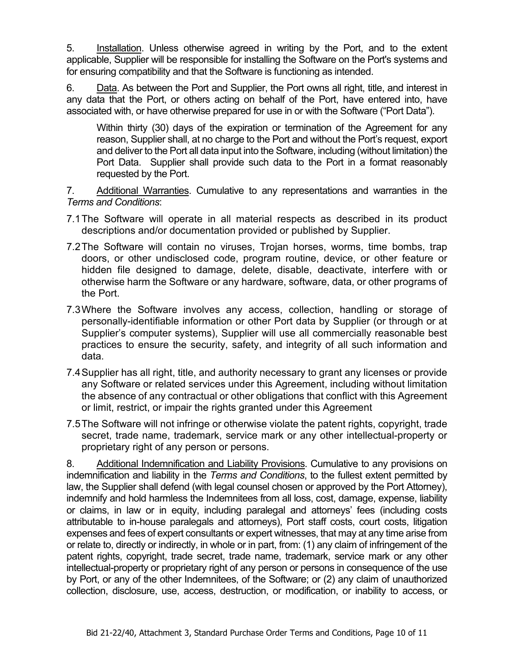5. Installation. Unless otherwise agreed in writing by the Port, and to the extent applicable, Supplier will be responsible for installing the Software on the Port's systems and for ensuring compatibility and that the Software is functioning as intended.

6. Data. As between the Port and Supplier, the Port owns all right, title, and interest in any data that the Port, or others acting on behalf of the Port, have entered into, have associated with, or have otherwise prepared for use in or with the Software ("Port Data").

Within thirty (30) days of the expiration or termination of the Agreement for any reason, Supplier shall, at no charge to the Port and without the Port's request, export and deliver to the Port all data input into the Software, including (without limitation) the Port Data. Supplier shall provide such data to the Port in a format reasonably requested by the Port.

7. Additional Warranties. Cumulative to any representations and warranties in the *Terms and Conditions*:

- 7.1The Software will operate in all material respects as described in its product descriptions and/or documentation provided or published by Supplier.
- 7.2The Software will contain no viruses, Trojan horses, worms, time bombs, trap doors, or other undisclosed code, program routine, device, or other feature or hidden file designed to damage, delete, disable, deactivate, interfere with or otherwise harm the Software or any hardware, software, data, or other programs of the Port.
- 7.3Where the Software involves any access, collection, handling or storage of personally-identifiable information or other Port data by Supplier (or through or at Supplier's computer systems), Supplier will use all commercially reasonable best practices to ensure the security, safety, and integrity of all such information and data.
- 7.4Supplier has all right, title, and authority necessary to grant any licenses or provide any Software or related services under this Agreement, including without limitation the absence of any contractual or other obligations that conflict with this Agreement or limit, restrict, or impair the rights granted under this Agreement
- 7.5The Software will not infringe or otherwise violate the patent rights, copyright, trade secret, trade name, trademark, service mark or any other intellectual-property or proprietary right of any person or persons.

8. Additional Indemnification and Liability Provisions. Cumulative to any provisions on indemnification and liability in the *Terms and Conditions*, to the fullest extent permitted by law, the Supplier shall defend (with legal counsel chosen or approved by the Port Attorney), indemnify and hold harmless the Indemnitees from all loss, cost, damage, expense, liability or claims, in law or in equity, including paralegal and attorneys' fees (including costs attributable to in-house paralegals and attorneys), Port staff costs, court costs, litigation expenses and fees of expert consultants or expert witnesses, that may at any time arise from or relate to, directly or indirectly, in whole or in part, from: (1) any claim of infringement of the patent rights, copyright, trade secret, trade name, trademark, service mark or any other intellectual-property or proprietary right of any person or persons in consequence of the use by Port, or any of the other Indemnitees, of the Software; or (2) any claim of unauthorized collection, disclosure, use, access, destruction, or modification, or inability to access, or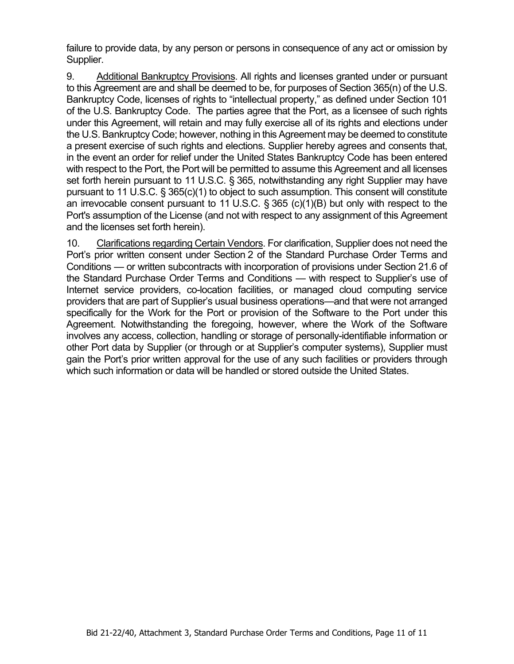failure to provide data, by any person or persons in consequence of any act or omission by Supplier.

9. Additional Bankruptcy Provisions. All rights and licenses granted under or pursuant to this Agreement are and shall be deemed to be, for purposes of Section 365(n) of the U.S. Bankruptcy Code, licenses of rights to "intellectual property," as defined under Section 101 of the U.S. Bankruptcy Code. The parties agree that the Port, as a licensee of such rights under this Agreement, will retain and may fully exercise all of its rights and elections under the U.S. Bankruptcy Code; however, nothing in this Agreement may be deemed to constitute a present exercise of such rights and elections. Supplier hereby agrees and consents that, in the event an order for relief under the United States Bankruptcy Code has been entered with respect to the Port, the Port will be permitted to assume this Agreement and all licenses set forth herein pursuant to 11 U.S.C. § 365, notwithstanding any right Supplier may have pursuant to 11 U.S.C. § 365(c)(1) to object to such assumption. This consent will constitute an irrevocable consent pursuant to 11 U.S.C. § 365 (c)(1)(B) but only with respect to the Port's assumption of the License (and not with respect to any assignment of this Agreement and the licenses set forth herein).

10. Clarifications regarding Certain Vendors. For clarification, Supplier does not need the Port's prior written consent under Section 2 of the Standard Purchase Order Terms and Conditions — or written subcontracts with incorporation of provisions under Section 21.6 of the Standard Purchase Order Terms and Conditions — with respect to Supplier's use of Internet service providers, co-location facilities, or managed cloud computing service providers that are part of Supplier's usual business operations—and that were not arranged specifically for the Work for the Port or provision of the Software to the Port under this Agreement. Notwithstanding the foregoing, however, where the Work of the Software involves any access, collection, handling or storage of personally-identifiable information or other Port data by Supplier (or through or at Supplier's computer systems), Supplier must gain the Port's prior written approval for the use of any such facilities or providers through which such information or data will be handled or stored outside the United States.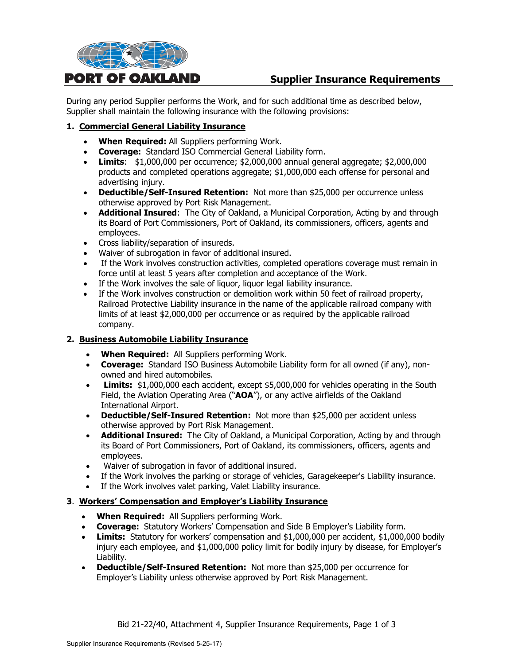

# **Supplier Insurance Requirements**

During any period Supplier performs the Work, and for such additional time as described below, Supplier shall maintain the following insurance with the following provisions:

## **1. Commercial General Liability Insurance**

- **When Required:** All Suppliers performing Work.
- **Coverage:** Standard ISO Commercial General Liability form.
- **Limits**: \$1,000,000 per occurrence; \$2,000,000 annual general aggregate; \$2,000,000 products and completed operations aggregate; \$1,000,000 each offense for personal and advertising injury.
- **Deductible/Self-Insured Retention:** Not more than \$25,000 per occurrence unless otherwise approved by Port Risk Management.
- **Additional Insured**: The City of Oakland, a Municipal Corporation, Acting by and through its Board of Port Commissioners, Port of Oakland, its commissioners, officers, agents and employees.
- Cross liability/separation of insureds.
- Waiver of subrogation in favor of additional insured.
- If the Work involves construction activities, completed operations coverage must remain in force until at least 5 years after completion and acceptance of the Work.
- If the Work involves the sale of liquor, liquor legal liability insurance.
- If the Work involves construction or demolition work within 50 feet of railroad property, Railroad Protective Liability insurance in the name of the applicable railroad company with limits of at least \$2,000,000 per occurrence or as required by the applicable railroad company.

#### **2. Business Automobile Liability Insurance**

- **When Required:** All Suppliers performing Work.
- **Coverage:** Standard ISO Business Automobile Liability form for all owned (if any), nonowned and hired automobiles.
- **Limits:** \$1,000,000 each accident, except \$5,000,000 for vehicles operating in the South Field, the Aviation Operating Area ("**AOA**"), or any active airfields of the Oakland International Airport.
- **Deductible/Self-Insured Retention:** Not more than \$25,000 per accident unless otherwise approved by Port Risk Management.
- **Additional Insured:** The City of Oakland, a Municipal Corporation, Acting by and through its Board of Port Commissioners, Port of Oakland, its commissioners, officers, agents and employees.
- Waiver of subrogation in favor of additional insured.
- If the Work involves the parking or storage of vehicles, Garagekeeper's Liability insurance.
- If the Work involves valet parking, Valet Liability insurance.

#### **3**. **Workers' Compensation and Employer's Liability Insurance**

- **When Required:** All Suppliers performing Work.
- **Coverage:** Statutory Workers' Compensation and Side B Employer's Liability form.
- **Limits:** Statutory for workers' compensation and \$1,000,000 per accident, \$1,000,000 bodily injury each employee, and \$1,000,000 policy limit for bodily injury by disease, for Employer's Liability.
- **Deductible/Self-Insured Retention:** Not more than \$25,000 per occurrence for Employer's Liability unless otherwise approved by Port Risk Management.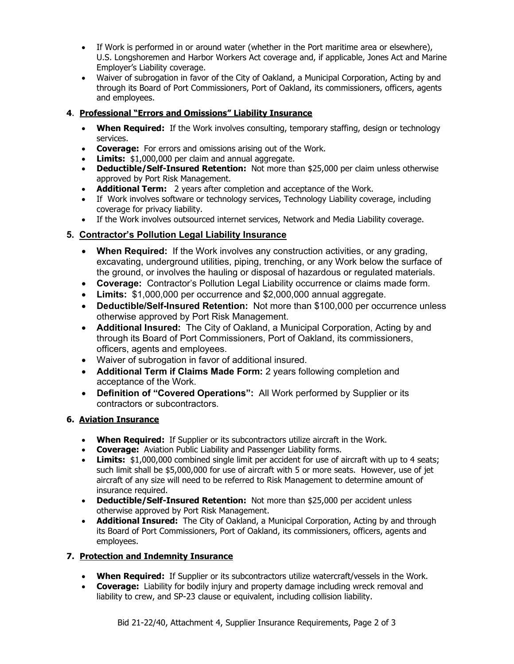- If Work is performed in or around water (whether in the Port maritime area or elsewhere), U.S. Longshoremen and Harbor Workers Act coverage and, if applicable, Jones Act and Marine Employer's Liability coverage.
- Waiver of subrogation in favor of the City of Oakland, a Municipal Corporation, Acting by and through its Board of Port Commissioners, Port of Oakland, its commissioners, officers, agents and employees.

# **4**. **Professional "Errors and Omissions" Liability Insurance**

- **When Required:** If the Work involves consulting, temporary staffing, design or technology services.
- **Coverage:** For errors and omissions arising out of the Work.
- **Limits:** \$1,000,000 per claim and annual aggregate.
- **Deductible/Self-Insured Retention:** Not more than \$25,000 per claim unless otherwise approved by Port Risk Management.
- **Additional Term:** 2 years after completion and acceptance of the Work.
- If Work involves software or technology services, Technology Liability coverage, including coverage for privacy liability.
- If the Work involves outsourced internet services, Network and Media Liability coverage.

# **5. Contractor's Pollution Legal Liability Insurance**

- **When Required:** If the Work involves any construction activities, or any grading, excavating, underground utilities, piping, trenching, or any Work below the surface of the ground, or involves the hauling or disposal of hazardous or regulated materials.
- **Coverage:** Contractor's Pollution Legal Liability occurrence or claims made form.
- **Limits:** \$1,000,000 per occurrence and \$2,000,000 annual aggregate.
- **Deductible/Self-Insured Retention:** Not more than \$100,000 per occurrence unless otherwise approved by Port Risk Management.
- **Additional Insured:** The City of Oakland, a Municipal Corporation, Acting by and through its Board of Port Commissioners, Port of Oakland, its commissioners, officers, agents and employees.
- Waiver of subrogation in favor of additional insured.
- **Additional Term if Claims Made Form:** 2 years following completion and acceptance of the Work.
- **Definition of "Covered Operations":** All Work performed by Supplier or its contractors or subcontractors.

# **6. Aviation Insurance**

- **When Required:** If Supplier or its subcontractors utilize aircraft in the Work.
- **Coverage:** Aviation Public Liability and Passenger Liability forms.
- **Limits:** \$1,000,000 combined single limit per accident for use of aircraft with up to 4 seats; such limit shall be \$5,000,000 for use of aircraft with 5 or more seats. However, use of jet aircraft of any size will need to be referred to Risk Management to determine amount of insurance required.
- **Deductible/Self-Insured Retention:** Not more than \$25,000 per accident unless otherwise approved by Port Risk Management.
- **Additional Insured:** The City of Oakland, a Municipal Corporation, Acting by and through its Board of Port Commissioners, Port of Oakland, its commissioners, officers, agents and employees.

# **7. Protection and Indemnity Insurance**

- **When Required:** If Supplier or its subcontractors utilize watercraft/vessels in the Work.
- **Coverage:** Liability for bodily injury and property damage including wreck removal and liability to crew, and SP-23 clause or equivalent, including collision liability.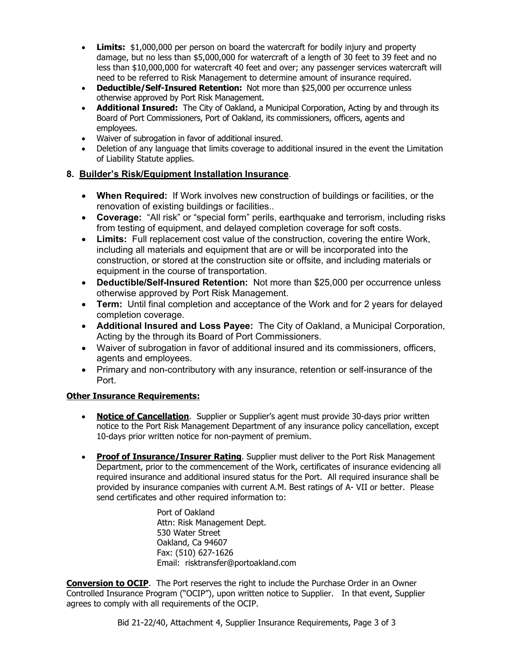- **Limits:** \$1,000,000 per person on board the watercraft for bodily injury and property damage, but no less than \$5,000,000 for watercraft of a length of 30 feet to 39 feet and no less than \$10,000,000 for watercraft 40 feet and over; any passenger services watercraft will need to be referred to Risk Management to determine amount of insurance required.
- **Deductible/Self-Insured Retention:** Not more than \$25,000 per occurrence unless otherwise approved by Port Risk Management.
- **Additional Insured:** The City of Oakland, a Municipal Corporation, Acting by and through its Board of Port Commissioners, Port of Oakland, its commissioners, officers, agents and employees.
- Waiver of subrogation in favor of additional insured.
- Deletion of any language that limits coverage to additional insured in the event the Limitation of Liability Statute applies.

#### **8. Builder's Risk/Equipment Installation Insurance**.

- **When Required:** If Work involves new construction of buildings or facilities, or the renovation of existing buildings or facilities..
- **Coverage:** "All risk" or "special form" perils, earthquake and terrorism, including risks from testing of equipment, and delayed completion coverage for soft costs.
- **Limits:** Full replacement cost value of the construction, covering the entire Work, including all materials and equipment that are or will be incorporated into the construction, or stored at the construction site or offsite, and including materials or equipment in the course of transportation.
- **Deductible/Self-Insured Retention:** Not more than \$25,000 per occurrence unless otherwise approved by Port Risk Management.
- **Term:** Until final completion and acceptance of the Work and for 2 years for delayed completion coverage.
- **Additional Insured and Loss Payee:** The City of Oakland, a Municipal Corporation, Acting by the through its Board of Port Commissioners.
- Waiver of subrogation in favor of additional insured and its commissioners, officers, agents and employees.
- Primary and non-contributory with any insurance, retention or self-insurance of the Port.

#### **Other Insurance Requirements:**

- **Notice of Cancellation.** Supplier or Supplier's agent must provide 30-days prior written notice to the Port Risk Management Department of any insurance policy cancellation, except 10-days prior written notice for non-payment of premium.
- **Proof of Insurance/Insurer Rating**. Supplier must deliver to the Port Risk Management Department, prior to the commencement of the Work, certificates of insurance evidencing all required insurance and additional insured status for the Port. All required insurance shall be provided by insurance companies with current A.M. Best ratings of A- VII or better. Please send certificates and other required information to:

Port of Oakland Attn: Risk Management Dept. 530 Water Street Oakland, Ca 94607 Fax: (510) 627-1626 Email: risktransfer@portoakland.com

**Conversion to OCIP**. The Port reserves the right to include the Purchase Order in an Owner Controlled Insurance Program ("OCIP"), upon written notice to Supplier. In that event, Supplier agrees to comply with all requirements of the OCIP.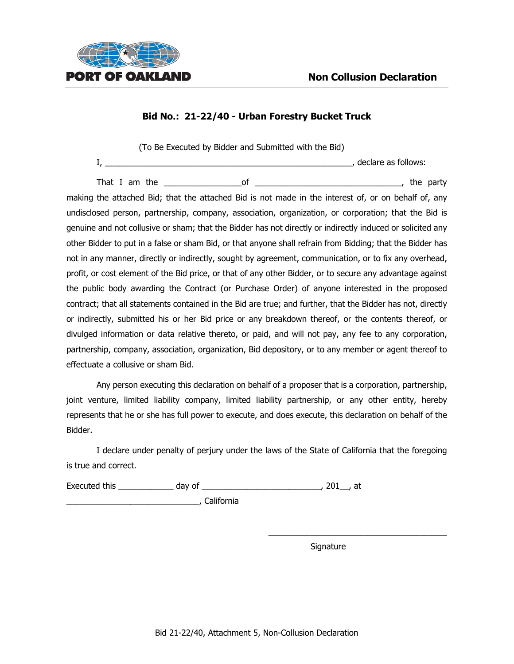

(To Be Executed by Bidder and Submitted with the Bid)

I, \_\_\_\_\_\_\_\_\_\_\_\_\_\_\_\_\_\_\_\_\_\_\_\_\_\_\_\_\_\_\_\_\_\_\_\_\_\_\_\_\_\_\_\_\_\_\_\_\_\_\_\_\_\_, declare as follows:

That I am the the set of the set of the set of the set of the party is the party making the attached Bid; that the attached Bid is not made in the interest of, or on behalf of, any undisclosed person, partnership, company, association, organization, or corporation; that the Bid is genuine and not collusive or sham; that the Bidder has not directly or indirectly induced or solicited any other Bidder to put in a false or sham Bid, or that anyone shall refrain from Bidding; that the Bidder has not in any manner, directly or indirectly, sought by agreement, communication, or to fix any overhead, profit, or cost element of the Bid price, or that of any other Bidder, or to secure any advantage against the public body awarding the Contract (or Purchase Order) of anyone interested in the proposed contract; that all statements contained in the Bid are true; and further, that the Bidder has not, directly or indirectly, submitted his or her Bid price or any breakdown thereof, or the contents thereof, or divulged information or data relative thereto, or paid, and will not pay, any fee to any corporation, partnership, company, association, organization, Bid depository, or to any member or agent thereof to effectuate a collusive or sham Bid.

Any person executing this declaration on behalf of a proposer that is a corporation, partnership, joint venture, limited liability company, limited liability partnership, or any other entity, hereby represents that he or she has full power to execute, and does execute, this declaration on behalf of the Bidder.

I declare under penalty of perjury under the laws of the State of California that the foregoing is true and correct.

Executed this \_\_\_\_\_\_\_\_\_\_\_\_ day of \_\_\_\_\_\_\_\_\_\_\_\_\_\_\_\_\_\_\_\_\_\_\_\_\_\_, 201\_\_, at

\_\_\_\_\_\_\_\_\_\_\_\_\_\_\_\_\_\_\_\_\_\_\_\_\_\_\_\_\_, California

Signature

\_\_\_\_\_\_\_\_\_\_\_\_\_\_\_\_\_\_\_\_\_\_\_\_\_\_\_\_\_\_\_\_\_\_\_\_\_\_\_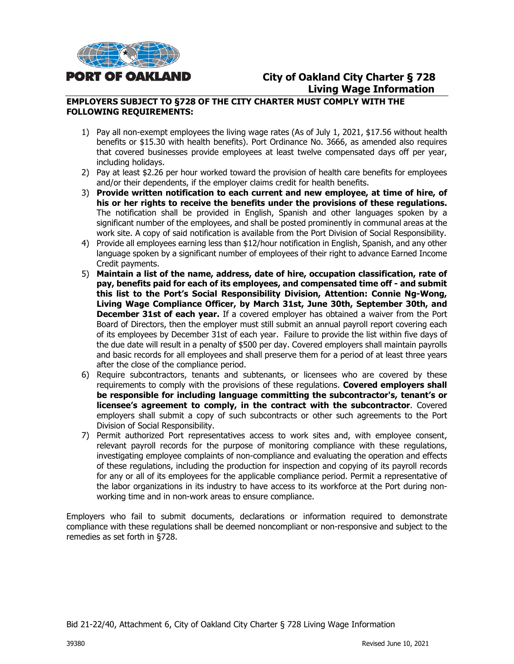

# **City of Oakland City Charter § 728 Living Wage Information**

#### **EMPLOYERS SUBJECT TO §728 OF THE CITY CHARTER MUST COMPLY WITH THE FOLLOWING REQUIREMENTS:**

- 1) Pay all non-exempt employees the living wage rates (As of July 1, 2021, \$17.56 without health benefits or \$15.30 with health benefits). Port Ordinance No. 3666, as amended also requires that covered businesses provide employees at least twelve compensated days off per year, including holidays.
- 2) Pay at least \$2.26 per hour worked toward the provision of health care benefits for employees and/or their dependents, if the employer claims credit for health benefits.
- 3) **Provide written notification to each current and new employee, at time of hire, of his or her rights to receive the benefits under the provisions of these regulations.** The notification shall be provided in English, Spanish and other languages spoken by a significant number of the employees, and shall be posted prominently in communal areas at the work site. A copy of said notification is available from the Port Division of Social Responsibility.
- 4) Provide all employees earning less than \$12/hour notification in English, Spanish, and any other language spoken by a significant number of employees of their right to advance Earned Income Credit payments.
- 5) **Maintain a list of the name, address, date of hire, occupation classification, rate of pay, benefits paid for each of its employees, and compensated time off - and submit this list to the Port's Social Responsibility Division, Attention: Connie Ng-Wong, Living Wage Compliance Officer, by March 31st, June 30th, September 30th, and December 31st of each year.** If a covered employer has obtained a waiver from the Port Board of Directors, then the employer must still submit an annual payroll report covering each of its employees by December 31st of each year. Failure to provide the list within five days of the due date will result in a penalty of \$500 per day. Covered employers shall maintain payrolls and basic records for all employees and shall preserve them for a period of at least three years after the close of the compliance period.
- 6) Require subcontractors, tenants and subtenants, or licensees who are covered by these requirements to comply with the provisions of these regulations. **Covered employers shall be responsible for including language committing the subcontractor's, tenant's or licensee's agreement to comply, in the contract with the subcontractor**. Covered employers shall submit a copy of such subcontracts or other such agreements to the Port Division of Social Responsibility.
- 7) Permit authorized Port representatives access to work sites and, with employee consent, relevant payroll records for the purpose of monitoring compliance with these regulations, investigating employee complaints of non-compliance and evaluating the operation and effects of these regulations, including the production for inspection and copying of its payroll records for any or all of its employees for the applicable compliance period. Permit a representative of the labor organizations in its industry to have access to its workforce at the Port during nonworking time and in non-work areas to ensure compliance.

Employers who fail to submit documents, declarations or information required to demonstrate compliance with these regulations shall be deemed noncompliant or non-responsive and subject to the remedies as set forth in §728.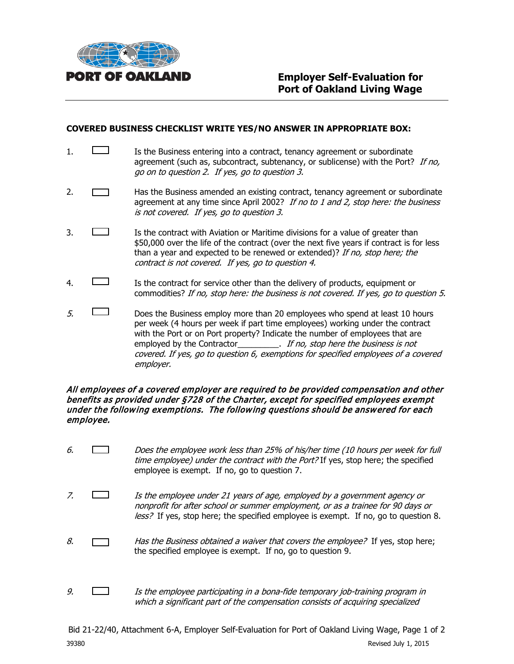

#### **COVERED BUSINESS CHECKLIST WRITE YES/NO ANSWER IN APPROPRIATE BOX:**

- 1. **IS the Business entering into a contract, tenancy agreement or subordinate** agreement (such as, subcontract, subtenancy, or sublicense) with the Port? If no, go on to question 2. If yes, go to question 3.
- 2. **Has the Business amended an existing contract, tenancy agreement or subordinate** agreement at any time since April 2002? If no to 1 and 2, stop here: the business is not covered. If yes, go to question 3.
- 3. **If the contract with Aviation or Maritime divisions for a value of greater than** \$50,000 over the life of the contract (over the next five years if contract is for less than a year and expected to be renewed or extended)? If no, stop here; the contract is not covered. If yes, go to question 4.
- 4. Is the contract for service other than the delivery of products, equipment or commodities? If no, stop here: the business is not covered. If yes, go to question 5.
- $5.$  Does the Business employ more than 20 employees who spend at least 10 hours per week (4 hours per week if part time employees) working under the contract with the Port or on Port property? Indicate the number of employees that are employed by the Contractor\_\_\_\_\_\_\_\_\_\_. If no, stop here the business is not covered. If yes, go to question 6, exemptions for specified employees of a covered employer.

#### All employees of a covered employer are required to be provided compensation and other benefits as provided under §728 of the Charter, except for specified employees exempt under the following exemptions. The following questions should be answered for each employee.

- 6. Does the employee work less than 25% of his/her time (10 hours per week for full time employee) under the contract with the Port? If yes, stop here; the specified employee is exempt. If no, go to question 7.
- 7.  $\Box$  Is the employee under 21 years of age, employed by a government agency or nonprofit for after school or summer employment, or as a trainee for 90 days or less? If yes, stop here; the specified employee is exempt. If no, go to question 8.
- 8.  $\Box$  Has the Business obtained a waiver that covers the employee? If yes, stop here; the specified employee is exempt. If no, go to question 9.
- 9.  $\Box$  Is the employee participating in a bona-fide temporary job-training program in which a significant part of the compensation consists of acquiring specialized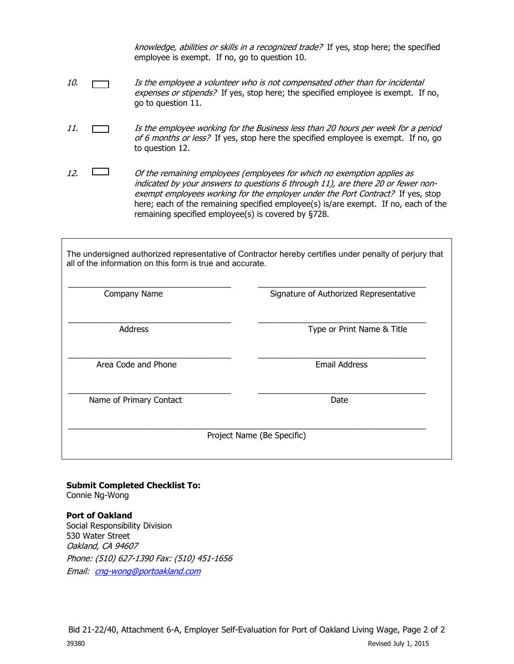knowledge, abilities or skills in a recognized trade? If yes, stop here; the specified employee is exempt. If no, go to question 10.

- 10. **If the employee a volunteer who is not compensated other than for incidental** expenses or stipends? If yes, stop here; the specified employee is exempt. If no, go to question 11.
- 11. Is the employee working for the Business less than 20 hours per week for a period of 6 months or less? If yes, stop here the specified employee is exempt. If no, go to question 12.
- 12.  $\Box$  Of the remaining employees (employees for which no exemption applies as indicated by your answers to questions 6 through 11), are there 20 or fewer nonexempt employees working for the employer under the Port Contract? If yes, stop here; each of the remaining specified employee(s) is/are exempt. If no, each of the remaining specified employee(s) is covered by §728.

The undersigned authorized representative of Contractor hereby certifies under penalty of perjury that all of the information on this form is true and accurate.

| Company Name            | Signature of Authorized Representative |
|-------------------------|----------------------------------------|
| <b>Address</b>          | Type or Print Name & Title             |
| Area Code and Phone     | <b>Email Address</b>                   |
| Name of Primary Contact | Date                                   |
|                         | Project Name (Be Specific)             |

**Submit Completed Checklist To:** Connie Ng-Wong

**Port of Oakland**  Social Responsibility Division 530 Water Street Oakland, CA 94607 Phone: (510) 627-1390 Fax: (510) 451-1656 Email: [cng-wong@portoakland.com](mailto:cng-wong@portoakland.com)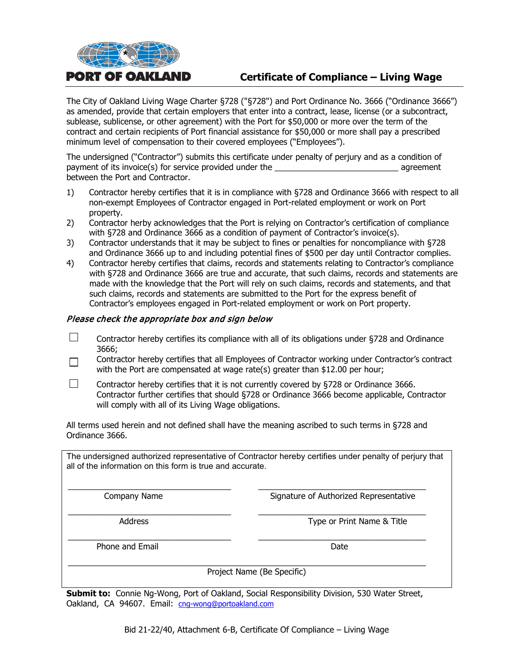

# **Certificate of Compliance – Living Wage**

The City of Oakland Living Wage Charter §728 ("§728") and Port Ordinance No. 3666 ("Ordinance 3666") as amended, provide that certain employers that enter into a contract, lease, license (or a subcontract, sublease, sublicense, or other agreement) with the Port for \$50,000 or more over the term of the contract and certain recipients of Port financial assistance for \$50,000 or more shall pay a prescribed minimum level of compensation to their covered employees ("Employees").

The undersigned ("Contractor") submits this certificate under penalty of perjury and as a condition of payment of its invoice(s) for service provided under the \_\_\_\_\_\_\_\_\_\_\_\_\_\_\_\_\_\_\_\_\_\_\_\_\_\_\_ agreement between the Port and Contractor.

- 1) Contractor hereby certifies that it is in compliance with §728 and Ordinance 3666 with respect to all non-exempt Employees of Contractor engaged in Port-related employment or work on Port property.
- 2) Contractor herby acknowledges that the Port is relying on Contractor's certification of compliance with §728 and Ordinance 3666 as a condition of payment of Contractor's invoice(s).
- 3) Contractor understands that it may be subject to fines or penalties for noncompliance with §728 and Ordinance 3666 up to and including potential fines of \$500 per day until Contractor complies.
- 4) Contractor hereby certifies that claims, records and statements relating to Contractor's compliance with §728 and Ordinance 3666 are true and accurate, that such claims, records and statements are made with the knowledge that the Port will rely on such claims, records and statements, and that such claims, records and statements are submitted to the Port for the express benefit of Contractor's employees engaged in Port-related employment or work on Port property.

#### Please check the appropriate box and sign below

- $\Box$ Contractor hereby certifies its compliance with all of its obligations under §728 and Ordinance 3666;
- Contractor hereby certifies that all Employees of Contractor working under Contractor's contract  $\Box$ with the Port are compensated at wage rate(s) greater than \$12.00 per hour;
- $\Box$ Contractor hereby certifies that it is not currently covered by §728 or Ordinance 3666. Contractor further certifies that should §728 or Ordinance 3666 become applicable, Contractor will comply with all of its Living Wage obligations.

All terms used herein and not defined shall have the meaning ascribed to such terms in §728 and Ordinance 3666.

The undersigned authorized representative of Contractor hereby certifies under penalty of perjury that all of the information on this form is true and accurate.

\_\_\_\_\_\_\_\_\_\_\_\_\_\_\_\_\_\_\_\_\_\_\_\_\_\_\_\_\_\_\_\_\_\_\_\_ \_\_\_\_\_\_\_\_\_\_\_\_\_\_\_\_\_\_\_\_\_\_\_\_\_\_\_\_\_\_\_\_\_\_\_\_\_ Company Name **Signature of Authorized Representative** 

\_\_\_\_\_\_\_\_\_\_\_\_\_\_\_\_\_\_\_\_\_\_\_\_\_\_\_\_\_\_\_\_\_\_\_\_ \_\_\_\_\_\_\_\_\_\_\_\_\_\_\_\_\_\_\_\_\_\_\_\_\_\_\_\_\_\_\_\_\_\_\_\_\_ Address **Address** Type or Print Name & Title

\_\_\_\_\_\_\_\_\_\_\_\_\_\_\_\_\_\_\_\_\_\_\_\_\_\_\_\_\_\_\_\_\_\_\_\_ \_\_\_\_\_\_\_\_\_\_\_\_\_\_\_\_\_\_\_\_\_\_\_\_\_\_\_\_\_\_\_\_\_\_\_\_\_ Phone and Email **Date Date Date Date Date** 

\_\_\_\_\_\_\_\_\_\_\_\_\_\_\_\_\_\_\_\_\_\_\_\_\_\_\_\_\_\_\_\_\_\_\_\_\_\_\_\_\_\_\_\_\_\_\_\_\_\_\_\_\_\_\_\_\_\_\_\_\_\_\_\_\_\_\_\_\_\_\_\_\_\_\_\_\_\_\_ Project Name (Be Specific)

**Submit to:** Connie Ng-Wong, Port of Oakland, Social Responsibility Division, 530 Water Street, Oakland, CA 94607. Email: [cng-wong@portoakland.com](mailto:cng-wong@portoakland.com)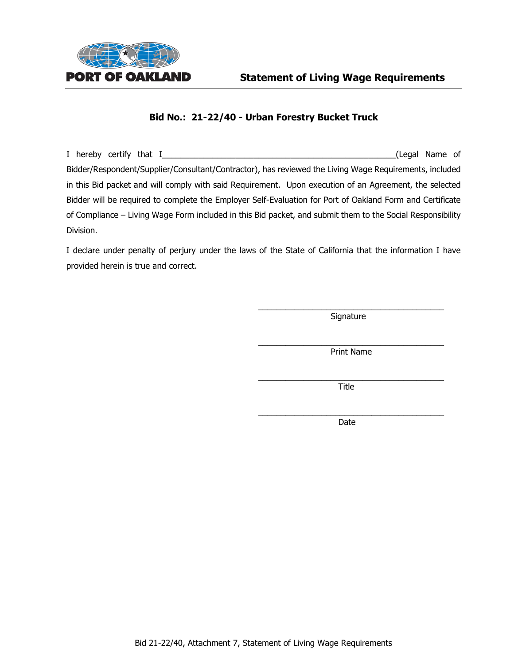

I hereby certify that I\_\_\_\_\_\_\_\_\_\_\_\_\_\_\_\_\_\_\_\_\_\_\_\_\_\_\_\_\_\_\_\_\_\_\_\_\_\_\_\_\_\_\_\_\_\_\_\_\_\_\_(Legal Name of Bidder/Respondent/Supplier/Consultant/Contractor), has reviewed the Living Wage Requirements, included in this Bid packet and will comply with said Requirement. Upon execution of an Agreement, the selected Bidder will be required to complete the Employer Self-Evaluation for Port of Oakland Form and Certificate of Compliance – Living Wage Form included in this Bid packet, and submit them to the Social Responsibility Division.

I declare under penalty of perjury under the laws of the State of California that the information I have provided herein is true and correct.

> $\overline{\phantom{a}}$  , and the contract of the contract of  $\overline{\phantom{a}}$ Signature

> $\overline{\phantom{a}}$  , and the contract of the contract of the contract of the contract of the contract of the contract of the contract of the contract of the contract of the contract of the contract of the contract of the contrac Print Name

> $\overline{\phantom{a}}$  , and the contract of the contract of the contract of the contract of the contract of the contract of the contract of the contract of the contract of the contract of the contract of the contract of the contrac Title

> \_\_\_\_\_\_\_\_\_\_\_\_\_\_\_\_\_\_\_\_\_\_\_\_\_\_\_\_\_\_\_\_\_\_\_\_\_\_\_\_\_ Date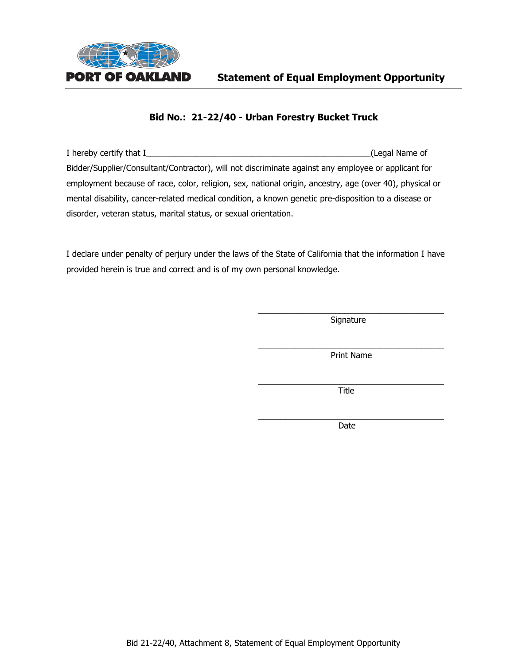

| I hereby certify that I                                                                                 | (Legal Name of |
|---------------------------------------------------------------------------------------------------------|----------------|
| Bidder/Supplier/Consultant/Contractor), will not discriminate against any employee or applicant for     |                |
| employment because of race, color, religion, sex, national origin, ancestry, age (over 40), physical or |                |
| mental disability, cancer-related medical condition, a known genetic pre-disposition to a disease or    |                |
| disorder, veteran status, marital status, or sexual orientation.                                        |                |

I declare under penalty of perjury under the laws of the State of California that the information I have provided herein is true and correct and is of my own personal knowledge.

> \_\_\_\_\_\_\_\_\_\_\_\_\_\_\_\_\_\_\_\_\_\_\_\_\_\_\_\_\_\_\_\_\_\_\_\_\_\_\_\_\_ Signature

> \_\_\_\_\_\_\_\_\_\_\_\_\_\_\_\_\_\_\_\_\_\_\_\_\_\_\_\_\_\_\_\_\_\_\_\_\_\_\_\_\_ Print Name

> \_\_\_\_\_\_\_\_\_\_\_\_\_\_\_\_\_\_\_\_\_\_\_\_\_\_\_\_\_\_\_\_\_\_\_\_\_\_\_\_\_ Title

> $\overline{\phantom{a}}$  , and the contract of the contract of the contract of the contract of the contract of the contract of the contract of the contract of the contract of the contract of the contract of the contract of the contrac Date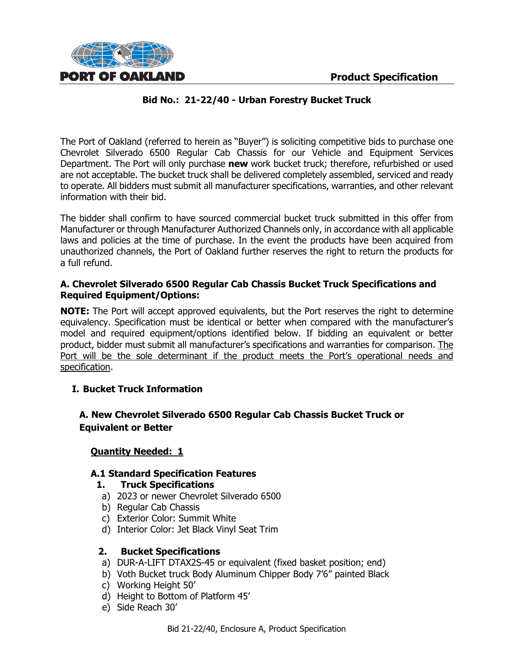

The Port of Oakland (referred to herein as "Buyer") is soliciting competitive bids to purchase one Chevrolet Silverado 6500 Regular Cab Chassis for our Vehicle and Equipment Services Department. The Port will only purchase **new** work bucket truck; therefore, refurbished or used are not acceptable. The bucket truck shall be delivered completely assembled, serviced and ready to operate. All bidders must submit all manufacturer specifications, warranties, and other relevant information with their bid.

The bidder shall confirm to have sourced commercial bucket truck submitted in this offer from Manufacturer or through Manufacturer Authorized Channels only, in accordance with all applicable laws and policies at the time of purchase. In the event the products have been acquired from unauthorized channels, the Port of Oakland further reserves the right to return the products for a full refund.

# **A. Chevrolet Silverado 6500 Regular Cab Chassis Bucket Truck Specifications and Required Equipment/Options:**

**NOTE:** The Port will accept approved equivalents, but the Port reserves the right to determine equivalency. Specification must be identical or better when compared with the manufacturer's model and required equipment/options identified below. If bidding an equivalent or better product, bidder must submit all manufacturer's specifications and warranties for comparison. The Port will be the sole determinant if the product meets the Port's operational needs and specification.

# **I. Bucket Truck Information**

# **A. New Chevrolet Silverado 6500 Regular Cab Chassis Bucket Truck or Equivalent or Better**

#### **Quantity Needed: 1**

#### **A.1 Standard Specification Features**

#### **1. Truck Specifications**

- a) 2023 or newer Chevrolet Silverado 6500
- b) Regular Cab Chassis
- c) Exterior Color: Summit White
- d) Interior Color: Jet Black Vinyl Seat Trim

# **2. Bucket Specifications**

- a) DUR-A-LIFT DTAX2S-45 or equivalent (fixed basket position; end)
- b) Voth Bucket truck Body Aluminum Chipper Body 7'6" painted Black
- c) Working Height 50'
- d) Height to Bottom of Platform 45'
- e) Side Reach 30'